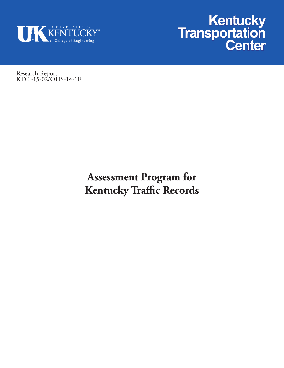



Research Report KTC -15-02/OHS-14-1F

# **Assessment Program for Kentucky Traffic Records**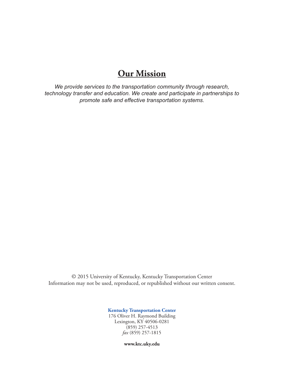# **Our Mission**

*We provide services to the transportation community through research, technology transfer and education. We create and participate in partnerships to promote safe and effective transportation systems.*

© 2015 University of Kentucky, Kentucky Transportation Center Information may not be used, reproduced, or republished without our written consent.

**Kentucky Transportation Center**

176 Oliver H. Raymond Building Lexington, KY 40506-0281  $(859)$  257-4513 *fax* (859) 257-1815

**www.ktc.uky.edu**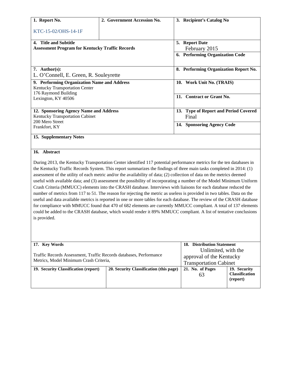| 1. Report No.                                                                                                                                                                                                                                                                                                                                                                                                                                                                                                                                                                                                                                                                                                                                                                                                                                                                                                                                                                                                                                                                                                                   | 2. Government Accession No.             | 3. Recipient's Catalog No             |                       |  |
|---------------------------------------------------------------------------------------------------------------------------------------------------------------------------------------------------------------------------------------------------------------------------------------------------------------------------------------------------------------------------------------------------------------------------------------------------------------------------------------------------------------------------------------------------------------------------------------------------------------------------------------------------------------------------------------------------------------------------------------------------------------------------------------------------------------------------------------------------------------------------------------------------------------------------------------------------------------------------------------------------------------------------------------------------------------------------------------------------------------------------------|-----------------------------------------|---------------------------------------|-----------------------|--|
|                                                                                                                                                                                                                                                                                                                                                                                                                                                                                                                                                                                                                                                                                                                                                                                                                                                                                                                                                                                                                                                                                                                                 |                                         |                                       |                       |  |
| KTC-15-02/OHS-14-1F                                                                                                                                                                                                                                                                                                                                                                                                                                                                                                                                                                                                                                                                                                                                                                                                                                                                                                                                                                                                                                                                                                             |                                         |                                       |                       |  |
|                                                                                                                                                                                                                                                                                                                                                                                                                                                                                                                                                                                                                                                                                                                                                                                                                                                                                                                                                                                                                                                                                                                                 |                                         |                                       |                       |  |
| 4. Title and Subtitle<br><b>Assessment Program for Kentucky Traffic Records</b>                                                                                                                                                                                                                                                                                                                                                                                                                                                                                                                                                                                                                                                                                                                                                                                                                                                                                                                                                                                                                                                 |                                         | 5. Report Date                        |                       |  |
|                                                                                                                                                                                                                                                                                                                                                                                                                                                                                                                                                                                                                                                                                                                                                                                                                                                                                                                                                                                                                                                                                                                                 |                                         | February 2015                         |                       |  |
|                                                                                                                                                                                                                                                                                                                                                                                                                                                                                                                                                                                                                                                                                                                                                                                                                                                                                                                                                                                                                                                                                                                                 |                                         | 6. Performing Organization Code       |                       |  |
| 7. Author(s):                                                                                                                                                                                                                                                                                                                                                                                                                                                                                                                                                                                                                                                                                                                                                                                                                                                                                                                                                                                                                                                                                                                   |                                         | 8. Performing Organization Report No. |                       |  |
| L. O'Connell, E. Green, R. Souleyrette                                                                                                                                                                                                                                                                                                                                                                                                                                                                                                                                                                                                                                                                                                                                                                                                                                                                                                                                                                                                                                                                                          |                                         |                                       |                       |  |
|                                                                                                                                                                                                                                                                                                                                                                                                                                                                                                                                                                                                                                                                                                                                                                                                                                                                                                                                                                                                                                                                                                                                 |                                         |                                       |                       |  |
| 9. Performing Organization Name and Address                                                                                                                                                                                                                                                                                                                                                                                                                                                                                                                                                                                                                                                                                                                                                                                                                                                                                                                                                                                                                                                                                     |                                         | 10. Work Unit No. (TRAIS)             |                       |  |
| Kentucky Transportation Center                                                                                                                                                                                                                                                                                                                                                                                                                                                                                                                                                                                                                                                                                                                                                                                                                                                                                                                                                                                                                                                                                                  |                                         |                                       |                       |  |
| 176 Raymond Building                                                                                                                                                                                                                                                                                                                                                                                                                                                                                                                                                                                                                                                                                                                                                                                                                                                                                                                                                                                                                                                                                                            |                                         | 11. Contract or Grant No.             |                       |  |
| Lexington, KY 40506                                                                                                                                                                                                                                                                                                                                                                                                                                                                                                                                                                                                                                                                                                                                                                                                                                                                                                                                                                                                                                                                                                             |                                         |                                       |                       |  |
| 12. Sponsoring Agency Name and Address                                                                                                                                                                                                                                                                                                                                                                                                                                                                                                                                                                                                                                                                                                                                                                                                                                                                                                                                                                                                                                                                                          |                                         | 13. Type of Report and Period Covered |                       |  |
| Kentucky Transportation Cabinet                                                                                                                                                                                                                                                                                                                                                                                                                                                                                                                                                                                                                                                                                                                                                                                                                                                                                                                                                                                                                                                                                                 |                                         | Final                                 |                       |  |
| 200 Mero Street                                                                                                                                                                                                                                                                                                                                                                                                                                                                                                                                                                                                                                                                                                                                                                                                                                                                                                                                                                                                                                                                                                                 |                                         |                                       |                       |  |
| Frankfort, KY                                                                                                                                                                                                                                                                                                                                                                                                                                                                                                                                                                                                                                                                                                                                                                                                                                                                                                                                                                                                                                                                                                                   |                                         | 14. Sponsoring Agency Code            |                       |  |
| 15. Supplementary Notes                                                                                                                                                                                                                                                                                                                                                                                                                                                                                                                                                                                                                                                                                                                                                                                                                                                                                                                                                                                                                                                                                                         |                                         |                                       |                       |  |
|                                                                                                                                                                                                                                                                                                                                                                                                                                                                                                                                                                                                                                                                                                                                                                                                                                                                                                                                                                                                                                                                                                                                 |                                         |                                       |                       |  |
| 16. Abstract                                                                                                                                                                                                                                                                                                                                                                                                                                                                                                                                                                                                                                                                                                                                                                                                                                                                                                                                                                                                                                                                                                                    |                                         |                                       |                       |  |
| During 2013, the Kentucky Transportation Center identified 117 potential performance metrics for the ten databases in<br>the Kentucky Traffic Records System. This report summarizes the findings of three main tasks completed in 2014: (1)<br>assessment of the utility of each metric and/or the availability of data; (2) collection of data on the metrics deemed<br>useful with available data; and (3) assessment the possibility of incorporating a number of the Model Minimum Uniform<br>Crash Criteria (MMUCC) elements into the CRASH database. Interviews with liaisons for each database reduced the<br>number of metrics from 117 to 51. The reason for rejecting the metric as useless is provided in two tables. Data on the<br>useful and data available metrics is reported in one or more tables for each database. The review of the CRASH database<br>for compliance with MMUCC found that 470 of 682 elements are currently MMUCC compliant. A total of 137 elements<br>could be added to the CRASH database, which would render it 89% MMUCC compliant. A list of tentative conclusions<br>is provided. |                                         |                                       |                       |  |
| 17. Key Words                                                                                                                                                                                                                                                                                                                                                                                                                                                                                                                                                                                                                                                                                                                                                                                                                                                                                                                                                                                                                                                                                                                   |                                         | 18. Distribution Statement            |                       |  |
|                                                                                                                                                                                                                                                                                                                                                                                                                                                                                                                                                                                                                                                                                                                                                                                                                                                                                                                                                                                                                                                                                                                                 |                                         | Unlimited, with the                   |                       |  |
| Traffic Records Assessment, Traffic Records databases, Performance                                                                                                                                                                                                                                                                                                                                                                                                                                                                                                                                                                                                                                                                                                                                                                                                                                                                                                                                                                                                                                                              |                                         | approval of the Kentucky              |                       |  |
| Metrics, Model Minimum Crash Criteria,                                                                                                                                                                                                                                                                                                                                                                                                                                                                                                                                                                                                                                                                                                                                                                                                                                                                                                                                                                                                                                                                                          |                                         | <b>Transportation Cabinet</b>         |                       |  |
|                                                                                                                                                                                                                                                                                                                                                                                                                                                                                                                                                                                                                                                                                                                                                                                                                                                                                                                                                                                                                                                                                                                                 | 20. Security Classification (this page) | 21. No. of Pages                      | 19. Security          |  |
| 19. Security Classification (report)                                                                                                                                                                                                                                                                                                                                                                                                                                                                                                                                                                                                                                                                                                                                                                                                                                                                                                                                                                                                                                                                                            |                                         | 63                                    | <b>Classification</b> |  |

**Classification (report)**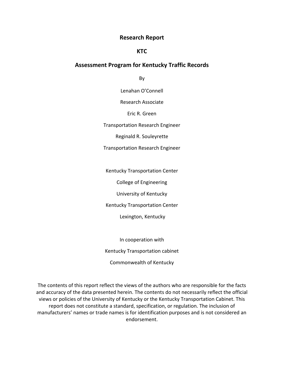#### **Research Report**

#### **KTC**

#### **Assessment Program for Kentucky Traffic Records**

By

Lenahan O'Connell

Research Associate

Eric R. Green

Transportation Research Engineer

Reginald R. Souleyrette

Transportation Research Engineer

Kentucky Transportation Center

College of Engineering

University of Kentucky

Kentucky Transportation Center

Lexington, Kentucky

In cooperation with Kentucky Transportation cabinet Commonwealth of Kentucky

The contents of this report reflect the views of the authors who are responsible for the facts and accuracy of the data presented herein. The contents do not necessarily reflect the official views or policies of the University of Kentucky or the Kentucky Transportation Cabinet. This report does not constitute a standard, specification, or regulation. The inclusion of manufacturers' names or trade names is for identification purposes and is not considered an endorsement.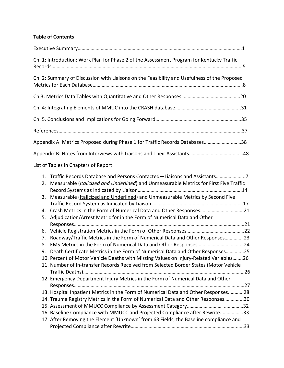# **Table of Contents**

|                | Ch. 1: Introduction: Work Plan for Phase 2 of the Assessment Program for Kentucky Traffic                                                                                                                                                           |  |
|----------------|-----------------------------------------------------------------------------------------------------------------------------------------------------------------------------------------------------------------------------------------------------|--|
|                | Ch. 2: Summary of Discussion with Liaisons on the Feasibility and Usefulness of the Proposed                                                                                                                                                        |  |
|                |                                                                                                                                                                                                                                                     |  |
|                |                                                                                                                                                                                                                                                     |  |
|                |                                                                                                                                                                                                                                                     |  |
|                |                                                                                                                                                                                                                                                     |  |
|                | Appendix A: Metrics Proposed during Phase 1 for Traffic Records Databases38                                                                                                                                                                         |  |
|                |                                                                                                                                                                                                                                                     |  |
|                | List of Tables in Chapters of Report                                                                                                                                                                                                                |  |
| 1.<br>2.<br>3. | Traffic Records Database and Persons Contacted-Liaisons and Assistants7<br>Measurable (Italicized and Underlined) and Unmeasurable Metrics for First Five Traffic<br>Measurable (Italicized and Underlined) and Unmeasurable Metrics by Second Five |  |
|                |                                                                                                                                                                                                                                                     |  |
| 4.<br>5.       | Adjudication/Arrest Metric for in the Form of Numerical Data and Other                                                                                                                                                                              |  |
| 6.             |                                                                                                                                                                                                                                                     |  |
| 7.             | Roadway/Traffic Metrics in the Form of Numerical Data and Other Responses23                                                                                                                                                                         |  |
| 8.             |                                                                                                                                                                                                                                                     |  |
|                | 9. Death Certificate Metrics in the Form of Numerical Data and Other Responses25                                                                                                                                                                    |  |
|                | 10. Percent of Motor Vehicle Deaths with Missing Values on Injury-Related Variables26                                                                                                                                                               |  |
|                | 11. Number of In-transfer Records Received from Selected Border States (Motor Vehicle                                                                                                                                                               |  |
|                | 12. Emergency Department Injury Metrics in the Form of Numerical Data and Other                                                                                                                                                                     |  |
|                | 13. Hospital Inpatient Metrics in the Form of Numerical Data and Other Responses28                                                                                                                                                                  |  |
|                | 14. Trauma Registry Metrics in the Form of Numerical Data and Other Responses30                                                                                                                                                                     |  |
|                |                                                                                                                                                                                                                                                     |  |
|                | 16. Baseline Compliance with MMUCC and Projected Compliance after Rewrite33                                                                                                                                                                         |  |
|                | 17. After Removing the Element 'Unknown' from 63 Fields, the Baseline compliance and                                                                                                                                                                |  |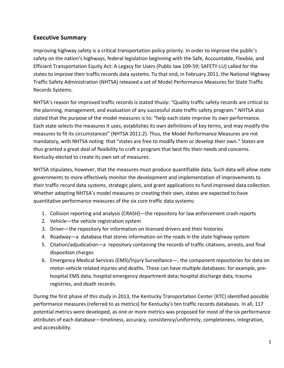# **Executive Summary**

Improving highway safety is a critical transportation policy priority. In order to improve the public's safety on the nation's highways, federal legislation beginning with the Safe, Accountable, Flexible, and Efficient Transportation Equity Act: A Legacy for Users (Public law 109-59; SAFETY-LU) called for the states to improve their traffic records data systems. To that end, in February 2011, the National Highway Traffic Safety Administration (NHTSA) released a set of Model Performance Measures for State Traffic Records Systems.

NHTSA's reason for improved traffic records is stated thusly: "Quality traffic safety records are critical to the planning, management, and evaluation of any successful state traffic safety program." NHTSA also stated that the purpose of the model measures is to: "help each state improve its own performance. Each state selects the measures it uses, establishes its own definitions of key terms, and may modify the measures to fit its circumstances" (NHTSA 2011:2). Thus, the Model Performance Measures are not mandatory, with NHTSA noting that "states are free to modify them or develop their own." States are thus granted a great deal of flexibility to craft a program that best fits their needs and concerns. Kentucky elected to create its own set of measures.

NHTSA stipulates, however, that the measures must produce quantifiable data. Such data will allow state governments to more effectively monitor the development and implementation of improvements to their traffic record data systems, strategic plans, and grant applications to fund improved data collection. Whether adopting NHTSA's model measures or creating their own, states are expected to have quantitative performance measures of the six core traffic data systems:

- 1. Collision reporting and analysis (CRASH)—the repository for law enforcement crash reports
- 2. Vehicle—the vehicle registration system
- 3. Driver—the repository for information on licensed drivers and their histories
- 4. Roadway—a database that stores information on the roads in the state highway system
- 5. Citation/adjudication—a repository containing the records of traffic citations, arrests, and final disposition charges
- 6. Emergency Medical Services (EMS)/Injury Surveillance—, the component repositories for data on motor-vehicle related injuries and deaths. These can have multiple databases: for example, prehospital EMS data, hospital emergency department data; hospital discharge data, trauma registries, and death records.

During the first phase of this study in 2013, the Kentucky Transportation Center (KTC) identified possible performance measures (referred to as metrics) for Kentucky's ten traffic records databases. In all, 117 potential metrics were developed, as one or more metrics was proposed for most of the six performance attributes of each database—timeliness, accuracy, consistency/uniformity, completeness, integration, and accessibility.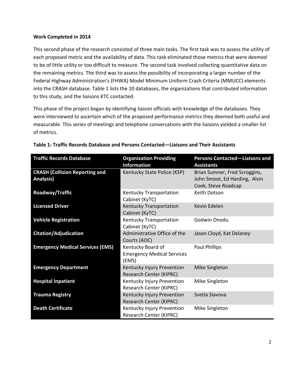#### **Work Completed in 2014**

This second phase of the research consisted of three main tasks. The first task was to assess the utility of each proposed metric and the availability of data. This task eliminated those metrics that were deemed to be of little utility or too difficult to measure. The second task involved collecting quantitative data on the remaining metrics. The third was to assess the possibility of incorporating a larger number of the Federal Highway Administration's (FHWA) Model Minimum Uniform Crash Criteria (MMUCC) elements into the CRASH database. Table 1 lists the 10 databases, the organizations that contributed information to this study, and the liaisons KTC contacted.

This phase of the project began by identifying liaison officials with knowledge of the databases. They were interviewed to ascertain which of the proposed performance metrics they deemed both useful and measurable. This series of meetings and telephone conversations with the liaisons yielded a smaller list of metrics.

| <b>Traffic Records Database</b>                    | <b>Organization Providing</b><br><b>Information</b>             | <b>Persons Contacted-Liaisons and</b><br><b>Assistants</b>                            |
|----------------------------------------------------|-----------------------------------------------------------------|---------------------------------------------------------------------------------------|
| <b>CRASH (Collision Reporting and</b><br>Analysis) | Kentucky State Police (KSP)                                     | Brian Sumner, Fred Scroggins,<br>John Smoot, Ed Harding, Alvin<br>Cook, Steve Roadcap |
| Roadway/Traffic                                    | Kentucky Transportation<br>Cabinet (KyTC)                       | Keith Dotson                                                                          |
| <b>Licensed Driver</b>                             | Kentucky Transportation<br>Cabinet (KyTC)                       | Kevin Edelen                                                                          |
| <b>Vehicle Registration</b>                        | Kentucky Transportation<br>Cabinet (KyTC)                       | Godwin Onodu                                                                          |
| <b>Citation/Adjudication</b>                       | Administrative Office of the<br>Courts (AOC)                    | Jason Cloyd, Kat Delaney                                                              |
| <b>Emergency Medical Services (EMS)</b>            | Kentucky Board of<br><b>Emergency Medical Services</b><br>(EMS) | Paul Phillips                                                                         |
| <b>Emergency Department</b>                        | Kentucky Injury Prevention<br>Research Center (KIPRC)           | Mike Singleton                                                                        |
| <b>Hospital Inpatient</b>                          | Kentucky Injury Prevention<br>Research Center (KIPRC)           | Mike Singleton                                                                        |
| <b>Trauma Registry</b>                             | Kentucky Injury Prevention<br>Research Center (KIPRC)           | Svetla Slavova                                                                        |
| <b>Death Certificate</b>                           | Kentucky Injury Prevention<br>Research Center (KIPRC)           | Mike Singleton                                                                        |

|  | Table 1: Traffic Records Database and Persons Contacted—Liaisons and Their Assistants |
|--|---------------------------------------------------------------------------------------|
|--|---------------------------------------------------------------------------------------|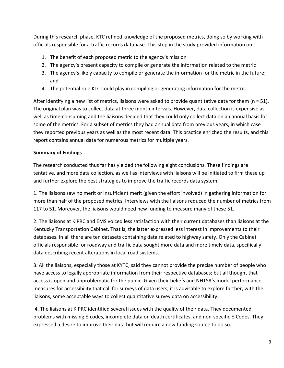During this research phase, KTC refined knowledge of the proposed metrics, doing so by working with officials responsible for a traffic records database. This step in the study provided information on:

- 1. The benefit of each proposed metric to the agency's mission
- 2. The agency's present capacity to compile or generate the information related to the metric
- 3. The agency's likely capacity to compile or generate the information for the metric in the future; and
- 4. The potential role KTC could play in compiling or generating information for the metric

After identifying a new list of metrics, liaisons were asked to provide quantitative data for them (n = 51). The original plan was to collect data at three month intervals. However, data collection is expensive as well as time-consuming and the liaisons decided that they could only collect data on an annual basis for some of the metrics. For a subset of metrics they had annual data from previous years, in which case they reported previous years as well as the most recent data. This practice enriched the results, and this report contains annual data for numerous metrics for multiple years.

# **Summary of Findings**

The research conducted thus far has yielded the following eight conclusions. These findings are tentative, and more data collection, as well as interviews with liaisons will be initiated to firm these up and further explore the best strategies to improve the traffic records data system.

1. The liaisons saw no merit or insufficient merit (given the effort involved) in gathering information for more than half of the proposed metrics. Interviews with the liaisons reduced the number of metrics from 117 to 51. Moreover, the liaisons would need new funding to measure many of these 51.

2. The liaisons at KIPRC and EMS voiced less satisfaction with their current databases than liaisons at the Kentucky Transportation Cabinet. That is, the latter expressed less interest in improvements to their databases. In all there are ten datasets containing data related to highway safety. Only the Cabinet officials responsible for roadway and traffic data sought more data and more timely data, specifically data describing recent alterations in local road systems.

3. All the liaisons, especially those at KYTC, said they cannot provide the precise number of people who have access to legally appropriate information from their respective databases; but all thought that access is open and unproblematic for the public. Given their beliefs and NHTSA's model performance measures for accessibility that call for surveys of data users, it is advisable to explore further, with the liaisons, some acceptable ways to collect quantitative survey data on accessibility.

4. The liaisons at KIPRC identified several issues with the quality of their data. They documented problems with missing E-codes, incomplete data on death certificates, and non-specific E-Codes. They expressed a desire to improve their data but will require a new funding source to do so.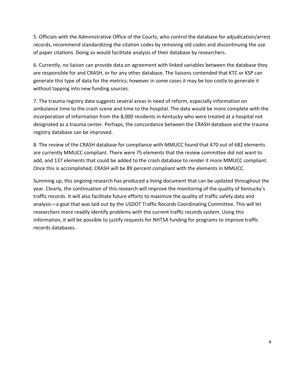5. Officials with the Administrative Office of the Courts, who control the database for adjudication/arrest records, recommend standardizing the citation codes by removing old codes and discontinuing the use of paper citations. Doing so would facilitate analysis of their database by researchers.

6. Currently, no liaison can provide data on agreement with linked variables between the database they are responsible for and CRASH, or for any other database. The liaisons contended that KTC or KSP can generate this type of data for the metrics; however in some cases it may be too costly to generate it without tapping into new funding sources.

7. The trauma registry data suggests several areas in need of reform, especially information on ambulance time to the crash scene and time to the hospital. The data would be more complete with the incorporation of information from the 8,000 residents in Kentucky who were treated at a hospital not designated as a trauma center. Perhaps, the concordance between the CRASH database and the trauma registry database can be improved.

8. The review of the CRASH database for compliance with MMUCC found that 470 out of 682 elements are currently MMUCC compliant. There were 75 elements that the review committee did not want to add, and 137 elements that could be added to the crash database to render it more MMUCC compliant. Once this is accomplished, CRASH will be 89 percent compliant with the elements in MMUCC.

Summing up, this ongoing research has produced a living document that can be updated throughout the year. Clearly, the continuation of this research will improve the monitoring of the quality of Kentucky's traffic records. It will also facilitate future efforts to maximize the quality of traffic safety data and analysis—a goal that was laid out by the USDOT Traffic Records Coordinating Committee. This will let researchers more readily identify problems with the current traffic records system. Using this information, it will be possible to justify requests for NHTSA funding for programs to improve traffic records databases.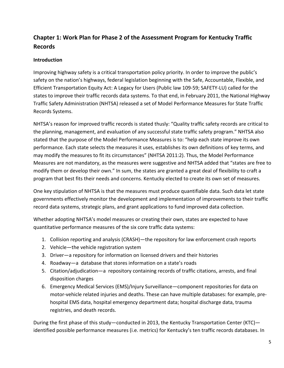# **Chapter 1: Work Plan for Phase 2 of the Assessment Program for Kentucky Traffic Records**

### **Introduction**

Improving highway safety is a critical transportation policy priority. In order to improve the public's safety on the nation's highways, federal legislation beginning with the Safe, Accountable, Flexible, and Efficient Transportation Equity Act: A Legacy for Users (Public law 109-59; SAFETY-LU) called for the states to improve their traffic records data systems. To that end, in February 2011, the National Highway Traffic Safety Administration (NHTSA) released a set of Model Performance Measures for State Traffic Records Systems.

NHTSA's reason for improved traffic records is stated thusly: "Quality traffic safety records are critical to the planning, management, and evaluation of any successful state traffic safety program." NHTSA also stated that the purpose of the Model Performance Measures is to: "help each state improve its own performance. Each state selects the measures it uses, establishes its own definitions of key terms, and may modify the measures to fit its circumstances" (NHTSA 2011:2). Thus, the Model Performance Measures are not mandatory, as the measures were suggestive and NHTSA added that "states are free to modify them or develop their own." In sum, the states are granted a great deal of flexibility to craft a program that best fits their needs and concerns. Kentucky elected to create its own set of measures.

One key stipulation of NHTSA is that the measures must produce quantifiable data. Such data let state governments effectively monitor the development and implementation of improvements to their traffic record data systems, strategic plans, and grant applications to fund improved data collection.

Whether adopting NHTSA's model measures or creating their own, states are expected to have quantitative performance measures of the six core traffic data systems:

- 1. Collision reporting and analysis (CRASH)—the repository for law enforcement crash reports
- 2. Vehicle—the vehicle registration system
- 3. Driver—a repository for information on licensed drivers and their histories
- 4. Roadway—a database that stores information on a state's roads
- 5. Citation/adjudication—a repository containing records of traffic citations, arrests, and final disposition charges
- 6. Emergency Medical Services (EMS)/Injury Surveillance—component repositories for data on motor-vehicle related injuries and deaths. These can have multiple databases: for example, prehospital EMS data, hospital emergency department data; hospital discharge data, trauma registries, and death records.

During the first phase of this study—conducted in 2013, the Kentucky Transportation Center (KTC) identified possible performance measures (i.e. metrics) for Kentucky's ten traffic records databases. In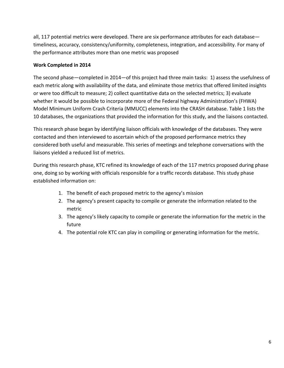all, 117 potential metrics were developed. There are six performance attributes for each database timeliness, accuracy, consistency/uniformity, completeness, integration, and accessibility. For many of the performance attributes more than one metric was proposed

### **Work Completed in 2014**

The second phase—completed in 2014—of this project had three main tasks: 1) assess the usefulness of each metric along with availability of the data, and eliminate those metrics that offered limited insights or were too difficult to measure; 2) collect quantitative data on the selected metrics; 3) evaluate whether it would be possible to incorporate more of the Federal highway Administration's (FHWA) Model Minimum Uniform Crash Criteria (MMUCC) elements into the CRASH database. Table 1 lists the 10 databases, the organizations that provided the information for this study, and the liaisons contacted.

This research phase began by identifying liaison officials with knowledge of the databases. They were contacted and then interviewed to ascertain which of the proposed performance metrics they considered both useful and measurable. This series of meetings and telephone conversations with the liaisons yielded a reduced list of metrics.

During this research phase, KTC refined its knowledge of each of the 117 metrics proposed during phase one, doing so by working with officials responsible for a traffic records database. This study phase established information on:

- 1. The benefit of each proposed metric to the agency's mission
- 2. The agency's present capacity to compile or generate the information related to the metric
- 3. The agency's likely capacity to compile or generate the information for the metric in the future
- 4. The potential role KTC can play in compiling or generating information for the metric.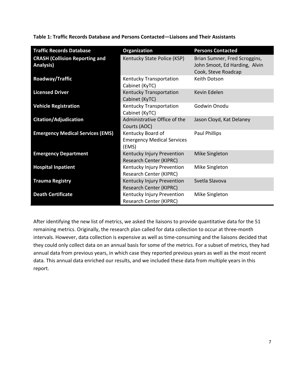| <b>Traffic Records Database</b>                           | <b>Organization</b>                                             | <b>Persons Contacted</b>                                                              |
|-----------------------------------------------------------|-----------------------------------------------------------------|---------------------------------------------------------------------------------------|
| <b>CRASH (Collision Reporting and</b><br><b>Analysis)</b> | Kentucky State Police (KSP)                                     | Brian Sumner, Fred Scroggins,<br>John Smoot, Ed Harding, Alvin<br>Cook, Steve Roadcap |
| Roadway/Traffic                                           | Kentucky Transportation<br>Cabinet (KyTC)                       | Keith Dotson                                                                          |
| <b>Licensed Driver</b>                                    | Kentucky Transportation<br>Cabinet (KyTC)                       | Kevin Edelen                                                                          |
| <b>Vehicle Registration</b>                               | Kentucky Transportation<br>Cabinet (KyTC)                       | Godwin Onodu                                                                          |
| Citation/Adjudication                                     | Administrative Office of the<br>Courts (AOC)                    | Jason Cloyd, Kat Delaney                                                              |
| <b>Emergency Medical Services (EMS)</b>                   | Kentucky Board of<br><b>Emergency Medical Services</b><br>(EMS) | <b>Paul Phillips</b>                                                                  |
| <b>Emergency Department</b>                               | Kentucky Injury Prevention<br><b>Research Center (KIPRC)</b>    | Mike Singleton                                                                        |
| <b>Hospital Inpatient</b>                                 | Kentucky Injury Prevention<br><b>Research Center (KIPRC)</b>    | Mike Singleton                                                                        |
| <b>Trauma Registry</b>                                    | Kentucky Injury Prevention<br><b>Research Center (KIPRC)</b>    | Svetla Slavova                                                                        |
| <b>Death Certificate</b>                                  | Kentucky Injury Prevention<br>Research Center (KIPRC)           | Mike Singleton                                                                        |

**Table 1: Traffic Records Database and Persons Contacted—Liaisons and Their Assistants** 

After identifying the new list of metrics, we asked the liaisons to provide quantitative data for the 51 remaining metrics. Originally, the research plan called for data collection to occur at three-month intervals. However, data collection is expensive as well as time-consuming and the liaisons decided that they could only collect data on an annual basis for some of the metrics. For a subset of metrics, they had annual data from previous years, in which case they reported previous years as well as the most recent data. This annual data enriched our results, and we included these data from multiple years in this report.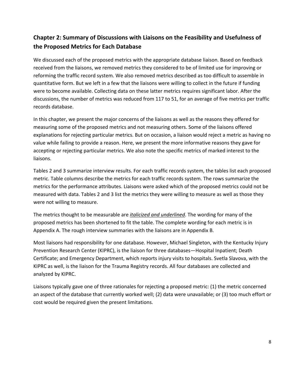# **Chapter 2: Summary of Discussions with Liaisons on the Feasibility and Usefulness of the Proposed Metrics for Each Database**

We discussed each of the proposed metrics with the appropriate database liaison. Based on feedback received from the liaisons, we removed metrics they considered to be of limited use for improving or reforming the traffic record system. We also removed metrics described as too difficult to assemble in quantitative form. But we left in a few that the liaisons were willing to collect in the future if funding were to become available. Collecting data on these latter metrics requires significant labor. After the discussions, the number of metrics was reduced from 117 to 51, for an average of five metrics per traffic records database.

In this chapter, we present the major concerns of the liaisons as well as the reasons they offered for measuring some of the proposed metrics and not measuring others. Some of the liaisons offered explanations for rejecting particular metrics. But on occasion, a liaison would reject a metric as having no value while failing to provide a reason. Here, we present the more informative reasons they gave for accepting or rejecting particular metrics. We also note the specific metrics of marked interest to the liaisons.

Tables 2 and 3 summarize interview results. For each traffic records system, the tables list each proposed metric. Table columns describe the metrics for each traffic records system. The rows summarize the metrics for the performance attributes. Liaisons were asked which of the proposed metrics could not be measured with data. Tables 2 and 3 list the metrics they were willing to measure as well as those they were not willing to measure.

The metrics thought to be measurable are *italicized and underlined*. The wording for many of the proposed metrics has been shortened to fit the table. The complete wording for each metric is in Appendix A. The rough interview summaries with the liaisons are in Appendix B.

Most liaisons had responsibility for one database. However, Michael Singleton, with the Kentucky Injury Prevention Research Center (KIPRC), is the liaison for three databases—Hospital Inpatient; Death Certificate; and Emergency Department, which reports injury visits to hospitals. Svetla Slavova, with the KIPRC as well, is the liaison for the Trauma Registry records. All four databases are collected and analyzed by KIPRC.

Liaisons typically gave one of three rationales for rejecting a proposed metric: (1) the metric concerned an aspect of the database that currently worked well; (2) data were unavailable; or (3) too much effort or cost would be required given the present limitations.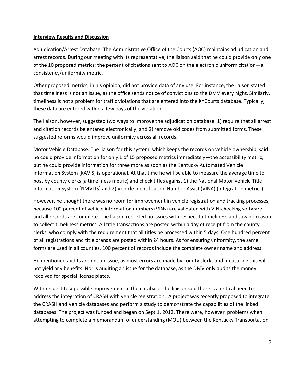#### **Interview Results and Discussion**

Adjudication/Arrest Database. The Administrative Office of the Courts (AOC) maintains adjudication and arrest records. During our meeting with its representative, the liaison said that he could provide only one of the 10 proposed metrics: the percent of citations sent to AOC on the electronic uniform citation—a consistency/uniformity metric.

Other proposed metrics, in his opinion, did not provide data of any use. For instance, the liaison stated that timeliness is not an issue, as the office sends notice of convictions to the DMV every night. Similarly, timeliness is not a problem for traffic violations that are entered into the KYCourts database. Typically, these data are entered within a few days of the violation.

The liaison, however, suggested two ways to improve the adjudication database: 1) require that all arrest and citation records be entered electronically; and 2) remove old codes from submitted forms. These suggested reforms would improve uniformity across all records.

Motor Vehicle Database. The liaison for this system, which keeps the records on vehicle ownership, said he could provide information for only 1 of 15 proposed metrics immediately—the accessibility metric; but he could provide information for three more as soon as the Kentucky Automated Vehicle Information System (KAVIS) is operational. At that time he will be able to measure the average time to post by county clerks (a timeliness metric) and check titles against 1) the National Motor Vehicle Title Information System (NMVTIS) and 2) Vehicle Identification Number Assist (VINA) (integration metrics).

However, he thought there was no room for improvement in vehicle registration and tracking processes, because 100 percent of vehicle information numbers (VINs) are validated with VIN-checking software and all records are complete. The liaison reported no issues with respect to timeliness and saw no reason to collect timeliness metrics. All title transactions are posted within a day of receipt from the county clerks, who comply with the requirement that all titles be processed within 5 days. One hundred percent of all registrations and title brands are posted within 24 hours. As for ensuring uniformity, the same forms are used in all counties. 100 percent of records include the complete owner name and address.

He mentioned audits are not an issue, as most errors are made by county clerks and measuring this will not yield any benefits. Nor is auditing an issue for the database, as the DMV only audits the money received for special license plates.

With respect to a possible improvement in the database, the liaison said there is a critical need to address the integration of CRASH with vehicle registration. A project was recently proposed to integrate the CRASH and Vehicle databases and perform a study to demonstrate the capabilities of the linked databases. The project was funded and began on Sept 1, 2012. There were, however, problems when attempting to complete a memorandum of understanding (MOU) between the Kentucky Transportation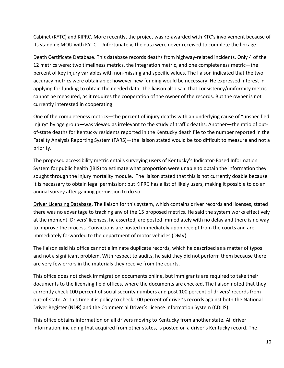Cabinet (KYTC) and KIPRC. More recently, the project was re-awarded with KTC's involvement because of its standing MOU with KYTC. Unfortunately, the data were never received to complete the linkage.

Death Certificate Database. This database records deaths from highway-related incidents. Only 4 of the 12 metrics were: two timeliness metrics, the integration metric, and one completeness metric—the percent of key injury variables with non-missing and specific values. The liaison indicated that the two accuracy metrics were obtainable; however new funding would be necessary. He expressed interest in applying for funding to obtain the needed data. The liaison also said that consistency/uniformity metric cannot be measured, as it requires the cooperation of the owner of the records. But the owner is not currently interested in cooperating.

One of the completeness metrics—the percent of injury deaths with an underlying cause of "unspecified injury" by age group—was viewed as irrelevant to the study of traffic deaths. Another—the ratio of outof-state deaths for Kentucky residents reported in the Kentucky death file to the number reported in the Fatality Analysis Reporting System (FARS)—the liaison stated would be too difficult to measure and not a priority.

The proposed accessibility metric entails surveying users of Kentucky's Indicator-Based Information System for public health (IBIS) to estimate what proportion were unable to obtain the information they sought through the injury mortality module. The liaison stated that this is not currently doable because it is necessary to obtain legal permission; but KIPRC has a list of likely users, making it possible to do an annual survey after gaining permission to do so.

Driver Licensing Database. The liaison for this system, which contains driver records and licenses, stated there was no advantage to tracking any of the 15 proposed metrics. He said the system works effectively at the moment. Drivers' licenses, he asserted, are posted immediately with no delay and there is no way to improve the process. Convictions are posted immediately upon receipt from the courts and are immediately forwarded to the department of motor vehicles (DMV).

The liaison said his office cannot eliminate duplicate records, which he described as a matter of typos and not a significant problem. With respect to audits, he said they did not perform them because there are very few errors in the materials they receive from the courts.

This office does not check immigration documents online, but immigrants are required to take their documents to the licensing field offices, where the documents are checked. The liaison noted that they currently check 100 percent of social security numbers and post 100 percent of drivers' records from out-of-state. At this time it is policy to check 100 percent of driver's records against both the National Driver Register (NDR) and the Commercial Driver's License Information System (CDLIS).

This office obtains information on all drivers moving to Kentucky from another state. All driver information, including that acquired from other states, is posted on a driver's Kentucky record. The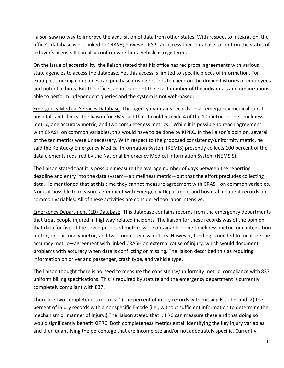liaison saw no way to improve the acquisition of data from other states. With respect to integration, the office's database is not linked to CRASH; however, KSP can access their database to confirm the status of a driver's license. It can also confirm whether a vehicle is registered.

On the issue of accessibility, the liaison stated that his office has reciprocal agreements with various state agencies to access the database. Yet this access is limited to specific pieces of information. For example, trucking companies can purchase driving records to check on the driving histories of employees and potential hires. But the office cannot pinpoint the exact number of the individuals and organizations able to perform independent queries and the system is not web-based.

Emergency Medical Services Database. This agency maintains records on all emergency medical runs to hospitals and clinics. The liaison for EMS said that it could provide 4 of the 10 metrics—one timeliness metric, one accuracy metric, and two completeness metrics. While it is possible to reach agreement with CRASH on common variables, this would have to be done by KIPRC. In the liaison's opinion, several of the ten metrics were unnecessary. With respect to the proposed consistency/uniformity metric, he said the Kentucky Emergency Medical Information System (KEMIS) presently collects 100 percent of the data elements required by the National Emergency Medical Information System (NEMSIS).

The liaison stated that it is possible measure the average number of days between the reporting deadline and entry into the data system—a timeliness metric—but that the effort precludes collecting data. He mentioned that at this time they cannot measure agreement with CRASH on common variables. Nor is it possible to measure agreement with Emergency Department and hospital inpatient records on common variables. All of these activities are considered too labor intensive.

Emergency Department (ED) Database. This database contains records from the emergency departments that treat people injured in highway-related incidents. The liaison for these records was of the opinion that data for five of the seven proposed metrics were obtainable—one timeliness metric, one integration metric, one accuracy metric, and two completeness metrics. However, funding is needed to measure the accuracy metric—agreement with linked CRASH on external cause of injury, which would document problems with accuracy when data is conflicting or missing. The liaison described this as requiring information on driver and passenger, crash type, and vehicle type.

The liaison thought there is no need to measure the consistency/uniformity metric: compliance with 837 uniform billing specifications. This is required by statute and the emergency department is currently completely compliant with 837.

There are two completeness metrics: 1) the percent of injury records with missing E-codes and; 2) the percent of injury records with a nonspecific E-code (i.e., without sufficient information to determine the mechanism or manner of injury.) The liaison stated that KIPRC can measure these and that doing so would significantly benefit KIPRC. Both completeness metrics entail identifying the key injury variables and then quantifying the percentage that are incomplete and/or not adequately specific. Currently,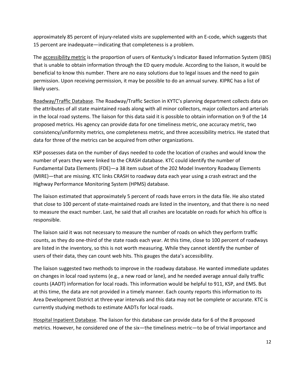approximately 85 percent of injury-related visits are supplemented with an E-code, which suggests that 15 percent are inadequate—indicating that completeness is a problem.

The accessibility metric is the proportion of users of Kentucky's Indicator Based Information System (IBIS) that is unable to obtain information through the ED query module. According to the liaison, it would be beneficial to know this number. There are no easy solutions due to legal issues and the need to gain permission. Upon receiving permission, it may be possible to do an annual survey. KIPRC has a list of likely users.

Roadway/Traffic Database. The Roadway/Traffic Section in KYTC's planning department collects data on the attributes of all state maintained roads along with all minor collectors, major collectors and arterials in the local road systems. The liaison for this data said it is possible to obtain information on 9 of the 14 proposed metrics. His agency can provide data for one timeliness metric, one accuracy metric, two consistency/uniformity metrics, one completeness metric, and three accessibility metrics. He stated that data for three of the metrics can be acquired from other organizations.

KSP possesses data on the number of days needed to code the location of crashes and would know the number of years they were linked to the CRASH database. KTC could identify the number of Fundamental Data Elements (FDE)—a 38 item subset of the 202 Model Inventory Roadway Elements (MIRE)—that are missing. KTC links CRASH to roadway data each year using a crash extract and the Highway Performance Monitoring System (HPMS) database.

The liaison estimated that approximately 5 percent of roads have errors in the data file. He also stated that close to 100 percent of state-maintained roads are listed in the inventory, and that there is no need to measure the exact number. Last, he said that all crashes are locatable on roads for which his office is responsible.

The liaison said it was not necessary to measure the number of roads on which they perform traffic counts, as they do one-third of the state roads each year. At this time, close to 100 percent of roadways are listed in the inventory, so this is not worth measuring. While they cannot identify the number of users of their data, they can count web hits. This gauges the data's accessibility.

The liaison suggested two methods to improve in the roadway database. He wanted immediate updates on changes in local road systems (e.g., a new road or lane), and he needed average annual daily traffic counts (AADT) information for local roads. This information would be helpful to 911, KSP, and EMS. But at this time, the data are not provided in a timely manner. Each county reports this information to its Area Development District at three-year intervals and this data may not be complete or accurate. KTC is currently studying methods to estimate AADTs for local roads.

Hospital Inpatient Database. The liaison for this database can provide data for 6 of the 8 proposed metrics. However, he considered one of the six—the timeliness metric—to be of trivial importance and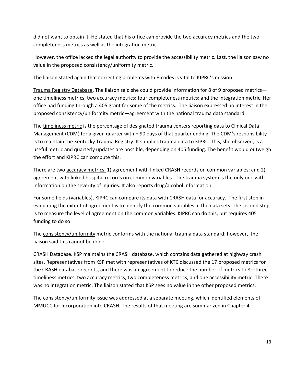did not want to obtain it. He stated that his office can provide the two accuracy metrics and the two completeness metrics as well as the integration metric.

However, the office lacked the legal authority to provide the accessibility metric. Last, the liaison saw no value in the proposed consistency/uniformity metric.

The liaison stated again that correcting problems with E-codes is vital to KIPRC's mission.

Trauma Registry Database. The liaison said she could provide information for 8 of 9 proposed metrics one timeliness metrics; two accuracy metrics; four completeness metrics; and the integration metric. Her office had funding through a 405 grant for some of the metrics. The liaison expressed no interest in the proposed consistency/uniformity metric—agreement with the national trauma data standard.

The timeliness metric is the percentage of designated trauma centers reporting data to Clinical Data Management (CDM) for a given quarter within 90 days of that quarter ending. The CDM's responsibility is to maintain the Kentucky Trauma Registry. It supplies trauma data to KIPRC. This, she observed, is a useful metric and quarterly updates are possible, depending on 405 funding. The benefit would outweigh the effort and KIPRC can compute this.

There are two accuracy metrics: 1) agreement with linked CRASH records on common variables; and 2) agreement with linked hospital records on common variables. The trauma system is the only one with information on the severity of injuries. It also reports drug/alcohol information.

For some fields (variables), KIPRC can compare its data with CRASH data for accuracy. The first step in evaluating the extent of agreement is to identify the common variables in the data sets. The second step is to measure the level of agreement on the common variables. KIPRC can do this, but requires 405 funding to do so

The consistency/uniformity metric conforms with the national trauma data standard; however, the liaison said this cannot be done.

CRASH Database. KSP maintains the CRASH database, which contains data gathered at highway crash sites. Representatives from KSP met with representatives of KTC discussed the 17 proposed metrics for the CRASH database records, and there was an agreement to reduce the number of metrics to 8—three timeliness metrics, two accuracy metrics, two completeness metrics, and one accessibility metric. There was no integration metric. The liaison stated that KSP sees no value in the other proposed metrics.

The consistency/uniformity issue was addressed at a separate meeting, which identified elements of MMUCC for incorporation into CRASH. The results of that meeting are summarized in Chapter 4.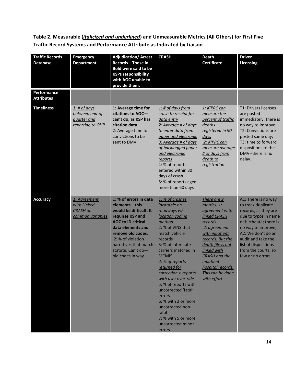**Table 2. Measurable (***italicized and underlined***) and Unmeasurable Metrics (All Others) for First Five Traffic Record Systems and Performance Attribute as Indicated by Liaison** 

| <b>Traffic Records</b><br><b>Database</b> | <b>Emergency</b><br><b>Department</b>                                            | <b>Adjudication/ Arrest</b><br>Records-Those in<br><b>Bold were said to be</b><br><b>KSPs responsibility</b><br>with AOC unable to<br>provide them.                                                                                                  | <b>CRASH</b>                                                                                                                                                                                                                                                                                                                                                                                                                                          | <b>Death</b><br><b>Certificate</b>                                                                                                                                                                                                                                            | <b>Driver</b><br><b>Licensing</b>                                                                                                                                                                                                                        |
|-------------------------------------------|----------------------------------------------------------------------------------|------------------------------------------------------------------------------------------------------------------------------------------------------------------------------------------------------------------------------------------------------|-------------------------------------------------------------------------------------------------------------------------------------------------------------------------------------------------------------------------------------------------------------------------------------------------------------------------------------------------------------------------------------------------------------------------------------------------------|-------------------------------------------------------------------------------------------------------------------------------------------------------------------------------------------------------------------------------------------------------------------------------|----------------------------------------------------------------------------------------------------------------------------------------------------------------------------------------------------------------------------------------------------------|
| Performance<br><b>Attributes</b>          |                                                                                  |                                                                                                                                                                                                                                                      |                                                                                                                                                                                                                                                                                                                                                                                                                                                       |                                                                                                                                                                                                                                                                               |                                                                                                                                                                                                                                                          |
| <b>Timeliness</b>                         | <u>1: # of days</u><br>between end-of-<br><i>guarter and</i><br>reporting to OHP | 1: Average time for<br>citations to AOC-<br>can't do, as KSP has<br>citation data<br>2: Average time for<br>convictions to be<br>sent to DMV                                                                                                         | <u>1: # of days from</u><br>crash to receipt for<br>data entry<br>2: Average # of days<br>to enter data from<br>paper and electronic<br>3: Average # of days<br>of backlogged paper<br>and electronic<br>reports<br>4: % of reports<br>entered within 30<br>days of crash<br>5: % of reports aged<br>more than 60 days                                                                                                                                | 1: KIPRC can<br>measure the<br>percent of traffic<br><i>deaths</i><br>registered in 90<br>days<br>2: KIPRC can<br>measure average<br># of days from<br>death to<br>registration                                                                                               | T1: Drivers licenses<br>are posted<br>immediately; there is<br>no way to improve;<br>T2: Convictions are<br>posted same day;<br>T3: time to forward<br>dispositions to the<br>DMV--there is no<br>delay.                                                 |
| <b>Accuracy</b>                           | 1: Agreement<br>with Linked<br><b>CRASH</b> on<br>common variables               | 1: % of errors in data<br>elements-this<br>would be difficult. It<br>requires KSP and<br><b>AOC to ID critical</b><br>data elements and<br>remove old codes.<br>2: % of violation<br>narratives that match<br>statute. Can't do-<br>old codes in way | 1: % of crashes<br>locatable on<br>roadways w/<br>location coding<br>method<br>2: % of VINS that<br>match vehicle<br>records<br>3: % of interstate<br>carriers matched in<br><b>MCMIS</b><br>4: % of reports<br><u>returned for</u><br>correction-e reports<br>with user over-ride<br>5: % of reports with<br>uncorrected 'fatal'<br>errors<br>6: % with 2 or more<br>uncorrected non-<br>fatal<br>7: % with 5 or more<br>uncorrected minor<br>errors | There are 2<br>metrics. 1:<br>agreement with<br><b>linked CRASH</b><br>records<br>2: agreement<br>with inpatient<br>records. But the<br>death file is not<br>linked with<br><b>CRASH</b> and the<br><i>inpatient</i><br>hospital records.<br>This can be done<br>with effort. | A1: There is no way<br>to track duplicate<br>records, as they are<br>due to typos in name<br>or birthdate; there is<br>no way to improve;<br>A2: We don't do an<br>audit and take the<br>list of dispositions<br>from the courts, so<br>few or no errors |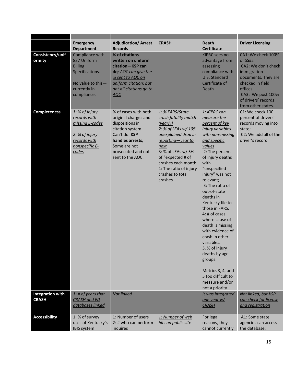|                                         | <b>Emergency</b><br><b>Department</b>                                                                                   | <b>Adjudication/ Arrest</b><br><b>Records</b>                                                                                                                                      | <b>CRASH</b>                                                                                                                                                                                                                                             | <b>Death</b><br><b>Certificate</b>                                                                                                                                                                                                                                                                                                                                                                                                                                                                                                          | <b>Driver Licensing</b>                                                                                                                                                                       |
|-----------------------------------------|-------------------------------------------------------------------------------------------------------------------------|------------------------------------------------------------------------------------------------------------------------------------------------------------------------------------|----------------------------------------------------------------------------------------------------------------------------------------------------------------------------------------------------------------------------------------------------------|---------------------------------------------------------------------------------------------------------------------------------------------------------------------------------------------------------------------------------------------------------------------------------------------------------------------------------------------------------------------------------------------------------------------------------------------------------------------------------------------------------------------------------------------|-----------------------------------------------------------------------------------------------------------------------------------------------------------------------------------------------|
| Consistency/unif<br>ormity              | Compliance with<br>837 Uniform<br><b>Billing</b><br>Specifications.<br>No value to this-<br>currently in<br>compliance. | % of citations<br>written on uniform<br>citation-KSP can<br>do; AOC can give the<br>% sent to AOC on<br>uniform citation; but<br>not all citations go to<br>AOC                    |                                                                                                                                                                                                                                                          | <b>KIPRC</b> sees no<br>advantage from<br>assessing<br>compliance with<br><b>U.S. Standard</b><br>Certificate of<br>Death                                                                                                                                                                                                                                                                                                                                                                                                                   | CA1: We check 100%<br>of SS#s.<br>CA2: We don't check<br>immigration<br>documents. They are<br>checked in field<br>offices.<br>CA3: We post 100%<br>of drivers' records<br>from other states. |
| <b>Completeness</b>                     | 1: % of Injury<br>records with<br>missing E-codes<br>2: % of injury<br>records with<br>nonspecific E-<br>codes          | % of cases with both<br>original charges and<br>dispositions in<br>citation system.<br>Can't do. KSP<br>handles arrests,<br>Some are not<br>prosecuted and not<br>sent to the AOC. | 1: % FARS/State<br>crash fatality match<br>(yearly)<br>2: % of LEAs w/ 10%<br>unexplained drop in<br>reporting-year to<br>next<br>3: % of LEAs w/ 5%<br>of "expected # of<br>crashes each month<br>4: The ratio of injury<br>crashes to total<br>crashes | 1: KIPRC can<br>measure the<br>percent of key<br>injury variables<br>with non-missing<br>and specific<br>values<br>2: The percent<br>of injury deaths<br>with<br>"unspecified<br>injury" was not<br>relevant;<br>3: The ratio of<br>out-of-state<br>deaths in<br>Kentucky file to<br>those in FARS.<br>4: # of cases<br>where cause of<br>death is missing<br>with evidence of<br>crash in other<br>variables.<br>5. % of injury<br>deaths by age<br>groups.<br>Metrics 3, 4, and<br>5 too difficult to<br>measure and/or<br>not a priority | C1: We check 100<br>percent of drivers'<br>records moving into<br>state;<br>C2: We add all of the<br>driver's record                                                                          |
| <b>Integration with</b><br><b>CRASH</b> | $1:$ # of years that<br><b>CRASH and ED</b><br>databases linked                                                         | Not linked                                                                                                                                                                         |                                                                                                                                                                                                                                                          | It was integrated<br>one year $w/$<br><b>CRASH</b>                                                                                                                                                                                                                                                                                                                                                                                                                                                                                          | Not linked, but KSP<br>can check for license<br>and registration                                                                                                                              |
|                                         |                                                                                                                         |                                                                                                                                                                                    |                                                                                                                                                                                                                                                          |                                                                                                                                                                                                                                                                                                                                                                                                                                                                                                                                             |                                                                                                                                                                                               |
| <b>Accessibility</b>                    | 1: % of survey<br>uses of Kentucky's<br><b>IBIS system</b>                                                              | 1: Number of users<br>2: # who can perform<br>inquires                                                                                                                             | 1: Number of web<br>hits on public site                                                                                                                                                                                                                  | For legal<br>reasons, they<br>cannot currently                                                                                                                                                                                                                                                                                                                                                                                                                                                                                              | A1: Some state<br>agencies can access<br>the database;                                                                                                                                        |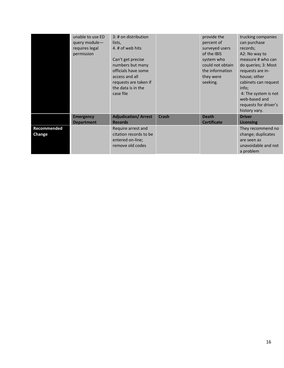|                       | unable to use ED<br>query module-<br>requires legal<br>permission | 3: # on distribution<br>lists,<br>4. # of web hits<br>Can't get precise<br>numbers but many<br>officials have some<br>access and all<br>requests are taken if<br>the data is in the<br>case file |              | provide the<br>percent of<br>surveyed users<br>of the IBIS<br>system who<br>could not obtain<br>the information<br>they were<br>seeking. | trucking companies<br>can purchase<br>records;<br>A2: No way to<br>measure # who can<br>do queries; 3: Most<br>requests are in-<br>house; other<br>cabinets can request<br>info:<br>4: The system is not<br>web-based and<br>requests for driver's<br>history vary. |
|-----------------------|-------------------------------------------------------------------|--------------------------------------------------------------------------------------------------------------------------------------------------------------------------------------------------|--------------|------------------------------------------------------------------------------------------------------------------------------------------|---------------------------------------------------------------------------------------------------------------------------------------------------------------------------------------------------------------------------------------------------------------------|
|                       | <b>Emergency</b>                                                  | <b>Adjudication/ Arrest</b>                                                                                                                                                                      | <b>Crash</b> | <b>Death</b>                                                                                                                             | <b>Driver</b>                                                                                                                                                                                                                                                       |
|                       | <b>Department</b>                                                 | <b>Records</b>                                                                                                                                                                                   |              | <b>Certificate</b>                                                                                                                       | <b>Licensing</b>                                                                                                                                                                                                                                                    |
| Recommended<br>Change |                                                                   | Require arrest and<br>citation records to be<br>entered on-line;<br>remove old codes                                                                                                             |              |                                                                                                                                          | They recommend no<br>change; duplicates<br>are seen as<br>unavoidable and not<br>a problem                                                                                                                                                                          |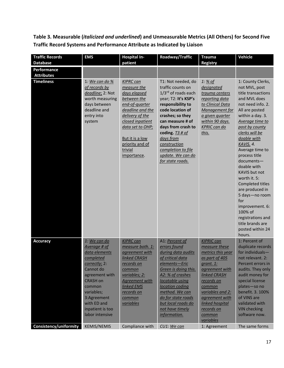**Table 3. Measurable (***italicized and underlined***) and Unmeasurable Metrics (All Others) for Second Five Traffic Record Systems and Performance Attribute as Indicated by Liaison** 

| <b>Traffic Records</b>                 | <b>EMS</b>                                                                                                                                                                                                                 | <b>Hospital In-</b>                                                                                                                                                                                                             | Roadway/Traffic                                                                                                                                                                                                                                                                                                           | <b>Trauma</b>                                                                                                                                                                                                                                  | <b>Vehicle</b>                                                                                                                                                                                                                                                                                                                                                                                                                                                                                       |
|----------------------------------------|----------------------------------------------------------------------------------------------------------------------------------------------------------------------------------------------------------------------------|---------------------------------------------------------------------------------------------------------------------------------------------------------------------------------------------------------------------------------|---------------------------------------------------------------------------------------------------------------------------------------------------------------------------------------------------------------------------------------------------------------------------------------------------------------------------|------------------------------------------------------------------------------------------------------------------------------------------------------------------------------------------------------------------------------------------------|------------------------------------------------------------------------------------------------------------------------------------------------------------------------------------------------------------------------------------------------------------------------------------------------------------------------------------------------------------------------------------------------------------------------------------------------------------------------------------------------------|
| <b>Database</b>                        |                                                                                                                                                                                                                            | patient                                                                                                                                                                                                                         |                                                                                                                                                                                                                                                                                                                           | <b>Registry</b>                                                                                                                                                                                                                                |                                                                                                                                                                                                                                                                                                                                                                                                                                                                                                      |
| Performance                            |                                                                                                                                                                                                                            |                                                                                                                                                                                                                                 |                                                                                                                                                                                                                                                                                                                           |                                                                                                                                                                                                                                                |                                                                                                                                                                                                                                                                                                                                                                                                                                                                                                      |
| <b>Attributes</b><br><b>Timeliness</b> | 1: We can do $%$<br>of records by<br>deadline; 2: Not<br>worth measuring<br>days between<br>deadline and<br>entry into<br>system                                                                                           | <b>KIPRC can</b><br>measure the<br>days elapsed<br>between the<br>end-of-quarter<br>deadline and the<br>delivery of the<br>closed inpatient<br>data set to OHP;<br>But it is a low<br>priority and of<br>trivial<br>importance. | T1: Not needed, do<br>traffic counts on<br>1/3rd of roads each<br>year; T2: It's KSP's<br>responsibility to<br>code location of<br>crashes; so they<br>can measure # of<br>days from crash to<br>coding. $\overline{13}$ # of<br>days from<br>construction<br>completion to file<br>update. We can do<br>for state roads. | 1: % of<br>designated<br>trauma centers<br>reporting data<br>to Clinical Data<br>Management for<br>a given quarter<br>within 90 days.<br><b>KPRIC can do</b><br>this.                                                                          | 1: County Clerks,<br>not MVL, post<br>title transactions<br>and MVL does<br>not need info. 2.<br>All are posted<br>within a day. 3.<br>Average time to<br>post by county<br>clerks will be<br>doable with<br>KAVIS. 4.<br>Average time to<br>process title<br>documents-<br>doable with<br><b>KAVIS but not</b><br>worth it. 5:<br>Completed titles<br>are produced in<br>5 days-no room<br>for<br>improvement. 6:<br>100% of<br>registrations and<br>title brands are<br>posted within 24<br>hours. |
| <b>Accuracy</b>                        | 1: We can do<br>Average # of<br>data elements<br>completed<br>correctly; 2:<br>Cannot do<br>agreement with<br><b>CRASH on</b><br>common<br>variables;<br>3:Agreement<br>with ED and<br>inpatient is too<br>labor intensive | <b>KIPRC can</b><br>measure both. 1:<br>agreement with<br><b>linked CRASH</b><br>records on<br>common<br>variables; 2:<br><b>Agreement with</b><br>linked EMS<br>records on<br>common<br>variables                              | A1: Percent of<br>errors found<br>during data audits<br>of critical data<br>elements-Eric<br>Green is doing this.<br>A2: % of crashes<br>locatable using<br>location coding<br>method. We can<br>do for state roads<br>but local roads do<br>not have timely<br>information.                                              | <b>KIPRIC can</b><br>measure these<br>metrics this year<br>as part of 405<br>grant. 1:<br>agreement with<br>linked CRASH<br>records on<br>common<br>variables and 2:<br>agreement with<br>linked hospital<br>records on<br>common<br>variables | 1: Percent of<br>duplicate records<br>for individuals-<br>not relevant. 2:<br>Percent errors in<br>audits. They only<br>audit money for<br>special license<br>plates-so no<br>benefit. 3. 100%<br>of VINS are<br>validated with<br><b>VIN checking</b><br>software now.                                                                                                                                                                                                                              |
| <b>Consistency/uniformity</b>          | <b>KEMIS/NEMIS</b>                                                                                                                                                                                                         | Compliance with                                                                                                                                                                                                                 | CU1: We can                                                                                                                                                                                                                                                                                                               | 1: Agreement                                                                                                                                                                                                                                   | The same forms                                                                                                                                                                                                                                                                                                                                                                                                                                                                                       |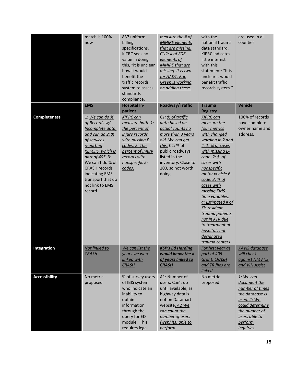|                      | match is 100%<br>now                                                                                                                                                                                                                                                | 837 uniform<br>billing<br>specifications.<br>KITRC sees no<br>value in doing<br>this, "it is unclear<br>how it would<br>benefit the<br>traffic records<br>system to assess<br>standards<br>compliance. | measure the # of<br><b>MMIRE</b> elements<br>that are missing.<br>$CU2:$ # of FDE<br>elements of<br><b>MMIRE</b> that are<br>missing. It is two<br>for AADT. Eric<br>Green is working<br>on adding these. | with the<br>national trauma<br>data standard.<br><b>KIPRC</b> indicates<br>little interest<br>with this<br>statement: "It is<br>unclear it would<br>benefit traffic<br>records system."                                                                                                                                                                                                                    | are used in all<br>counties.                                                                                                                                 |
|----------------------|---------------------------------------------------------------------------------------------------------------------------------------------------------------------------------------------------------------------------------------------------------------------|--------------------------------------------------------------------------------------------------------------------------------------------------------------------------------------------------------|-----------------------------------------------------------------------------------------------------------------------------------------------------------------------------------------------------------|------------------------------------------------------------------------------------------------------------------------------------------------------------------------------------------------------------------------------------------------------------------------------------------------------------------------------------------------------------------------------------------------------------|--------------------------------------------------------------------------------------------------------------------------------------------------------------|
|                      | <b>EMS</b>                                                                                                                                                                                                                                                          | <b>Hospital In-</b><br>patient                                                                                                                                                                         | Roadway/Traffic                                                                                                                                                                                           | <b>Trauma</b><br><b>Registry</b>                                                                                                                                                                                                                                                                                                                                                                           | <b>Vehicle</b>                                                                                                                                               |
| <b>Completeness</b>  | 1: We can do $%$<br>of Records w/<br>Incomplete data;<br>and can do 2: %<br>of services<br>reporting<br><b>KEMSIS</b> , which is<br>part of 405. 3:<br>We can't do % of<br><b>CRASH records</b><br>indicating EMS<br>transport that do<br>not link to EMS<br>record | <b>KIPRC can</b><br>measure both. 1:<br>the percent of<br>injury records<br>with missing E-<br>codes. 2. The<br>percent of injury<br>records with<br>nonspecific E-<br>codes.                          | C1: % of traffic<br>data based on<br>actual counts no<br>more than 3 years<br>old. We can get<br>this. C2: % of<br>public roadways<br>listed in the<br>inventory. Close to<br>100, so not worth<br>doing. | <b>KIPRC can</b><br>measure the<br>four metrics<br>with changed<br>wording in 2 and<br>4. 1: % of cases<br>with missing E-<br>code. 2: % of<br>cases with<br>nonspecific<br>motor vehicle E-<br>code. 3: % of<br>cases with<br>missing EMS<br>time variables.<br>4: Estimated # of<br>KY-resident<br>trauma patients<br>not in KTR due<br>to treatment at<br>hospitals not<br>designated<br>trauma centers | 100% of records<br>have complete<br>owner name and<br>address.                                                                                               |
| <b>Integration</b>   | Not linked to<br><b>CRASH</b>                                                                                                                                                                                                                                       | We can list the<br>years we were<br>linked with<br><b>CRASH</b>                                                                                                                                        | <b>KSP's Ed Harding</b><br>would know the #<br>of years linked to<br><b>CRASH</b>                                                                                                                         | <u>For first year as</u><br>part of 405<br>Grant, CRASH<br>and TR files are<br>linked.                                                                                                                                                                                                                                                                                                                     | <b>KAVIS database</b><br>will check<br>against NMVTIS<br>and VIN Assist                                                                                      |
| <b>Accessibility</b> | No metric<br>proposed                                                                                                                                                                                                                                               | % of survey users<br>of IBIS system<br>who indicate an<br>inability to<br>obtain<br>information<br>through the<br>query for ED<br>module. This<br>requires legal                                       | A1: Number of<br>users. Can't do<br>until available, as<br>highway data is<br>not on Datamart<br>website. A2 We<br>can count the<br>number of users<br>(webhits) able to<br>perform                       | No metric<br>proposed                                                                                                                                                                                                                                                                                                                                                                                      | 1: We can<br>document the<br>number of times<br>the database is<br>used. 2: We<br>could determine<br>the number of<br>users able to<br>perform<br>inquiries. |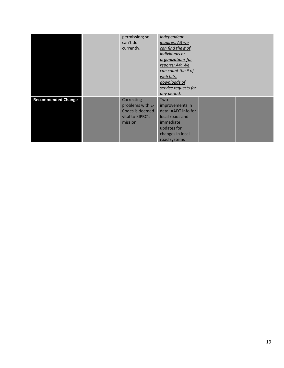|                           | permission; so<br>can't do<br>currently.                                         | independent<br>inquires. A3 we<br>can find the # of<br>individuals or<br><i><u>organizations for</u></i><br>reports; A4: We<br>can count the # of<br>web hits,<br>downloads of<br>service requests for<br><u>any period.</u> |  |
|---------------------------|----------------------------------------------------------------------------------|------------------------------------------------------------------------------------------------------------------------------------------------------------------------------------------------------------------------------|--|
| <b>Recommended Change</b> | Correcting<br>problems with E-<br>Codes is deemed<br>vital to KIPRC's<br>mission | Two<br>improvements in<br>data: AADT info for<br>local roads and<br>immediate<br>updates for<br>changes in local<br>road systems                                                                                             |  |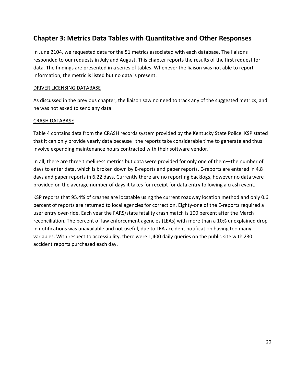# **Chapter 3: Metrics Data Tables with Quantitative and Other Responses**

In June 2104, we requested data for the 51 metrics associated with each database. The liaisons responded to our requests in July and August. This chapter reports the results of the first request for data. The findings are presented in a series of tables. Whenever the liaison was not able to report information, the metric is listed but no data is present.

#### DRIVER LICENSING DATABASE

As discussed in the previous chapter, the liaison saw no need to track any of the suggested metrics, and he was not asked to send any data.

#### CRASH DATABASE

Table 4 contains data from the CRASH records system provided by the Kentucky State Police. KSP stated that it can only provide yearly data because "the reports take considerable time to generate and thus involve expending maintenance hours contracted with their software vendor."

In all, there are three timeliness metrics but data were provided for only one of them—the number of days to enter data, which is broken down by E-reports and paper reports. E-reports are entered in 4.8 days and paper reports in 6.22 days. Currently there are no reporting backlogs, however no data were provided on the average number of days it takes for receipt for data entry following a crash event.

KSP reports that 95.4% of crashes are locatable using the current roadway location method and only 0.6 percent of reports are returned to local agencies for correction. Eighty-one of the E-reports required a user entry over-ride. Each year the FARS/state fatality crash match is 100 percent after the March reconciliation. The percent of law enforcement agencies (LEAs) with more than a 10% unexplained drop in notifications was unavailable and not useful, due to LEA accident notification having too many variables. With respect to accessibility, there were 1,400 daily queries on the public site with 230 accident reports purchased each day.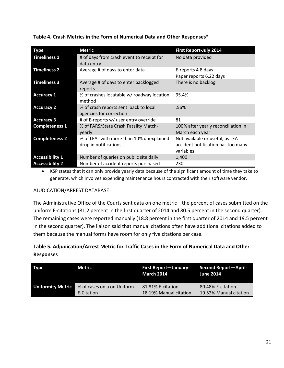| <b>Type</b>            | <b>Metric</b>                                                     | <b>First Report-July 2014</b>                                                      |
|------------------------|-------------------------------------------------------------------|------------------------------------------------------------------------------------|
| <b>Timeliness 1</b>    | # of days from crash event to receipt for<br>data entry           | No data provided                                                                   |
| <b>Timeliness 2</b>    | Average # of days to enter data                                   | E-reports 4.8 days<br>Paper reports 6.22 days                                      |
| <b>Timeliness 3</b>    | Average # of days to enter backlogged<br>reports                  | There is no backlog                                                                |
| <b>Accuracy 1</b>      | % of crashes locatable w/ roadway location<br>method              | 95.4%                                                                              |
| <b>Accuracy 2</b>      | % of crash reports sent back to local<br>agencies for correction  | .56%                                                                               |
| <b>Accuracy 3</b>      | # of E-reports w/ user entry override                             | 81                                                                                 |
| <b>Completeness 1</b>  | % of FARS/State Crash Fatality Match-<br>yearly                   | 100% after yearly reconciliation in<br>March each year                             |
| <b>Completeness 2</b>  | % of LEAs with more than 10% unexplained<br>drop in notifications | Not available or useful, as LEA<br>accident notification has too many<br>variables |
| <b>Accessibility 1</b> | Number of queries on public site daily                            | 1,400                                                                              |
| <b>Accessibility 2</b> | Number of accident reports purchased                              | 230                                                                                |

**Table 4. Crash Metrics in the Form of Numerical Data and Other Responses\*** 

 KSP states that it can only provide yearly data because of the significant amount of time they take to generate, which involves expending maintenance hours contracted with their software vendor.

#### AJUDICATION/ARREST DATABASE

The Administrative Office of the Courts sent data on one metric—the percent of cases submitted on the uniform E-citations (81.2 percent in the first quarter of 2014 and 80.5 percent in the second quarter). The remaining cases were reported manually (18.8 percent in the first quarter of 2014 and 19.5 percent in the second quarter). The liaison said that manual citations often have additional citations added to them because the manual forms have room for only five citations per case.

# **Table 5. Adjudication/Arrest Metric for Traffic Cases in the Form of Numerical Data and Other Responses**

| <b>Type</b>              | Metric                     | First Report-January- Second Report-April-<br><b>March 2014</b> | <b>June 2014</b>       |
|--------------------------|----------------------------|-----------------------------------------------------------------|------------------------|
| <b>Uniformity Metric</b> | % of cases on a on Uniform | 81.81% E-citation                                               | 80.48% E-citation      |
|                          | E-Citation                 | 18.19% Manual citation                                          | 19.52% Manual citation |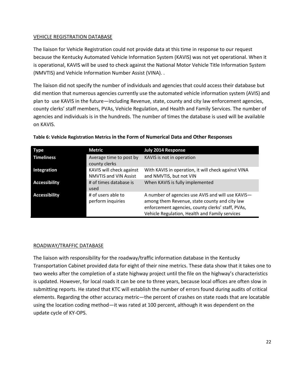#### VEHICLE REGISTRATION DATABASE

The liaison for Vehicle Registration could not provide data at this time in response to our request because the Kentucky Automated Vehicle Information System (KAVIS) was not yet operational. When it is operational, KAVIS will be used to check against the National Motor Vehicle Title Information System (NMVTIS) and Vehicle Information Number Assist (VINA). .

The liaison did not specify the number of individuals and agencies that could access their database but did mention that numerous agencies currently use the automated vehicle information system (AVIS) and plan to use KAVIS in the future—including Revenue, state, county and city law enforcement agencies, county clerks' staff members, PVAs, Vehicle Regulation, and Health and Family Services. The number of agencies and individuals is in the hundreds. The number of times the database is used will be available on KAVIS.

| Type                 | Metric                                                   | <b>July 2014 Response</b>                                                                                                                                                                                 |
|----------------------|----------------------------------------------------------|-----------------------------------------------------------------------------------------------------------------------------------------------------------------------------------------------------------|
| <b>Timeliness</b>    | Average time to post by<br>county clerks                 | KAVIS is not in operation                                                                                                                                                                                 |
| Integration          | KAVIS will check against<br><b>NMVTIS and VIN Assist</b> | With KAVIS in operation, it will check against VINA<br>and NMVTIS, but not VIN                                                                                                                            |
| <b>Accessibility</b> | # of times database is<br>used                           | When KAVIS is fully implemented                                                                                                                                                                           |
| <b>Accessibility</b> | # of users able to<br>perform inquiries                  | A number of agencies use AVIS and will use KAVIS-<br>among them Revenue, state county and city law<br>enforcement agencies, county clerks' staff, PVAs,<br>Vehicle Regulation, Health and Family services |

#### **Table 6: Vehicle Registration Metrics in the Form of Numerical Data and Other Responses**

#### ROADWAY/TRAFFIC DATABASE

The liaison with responsibility for the roadway/traffic information database in the Kentucky Transportation Cabinet provided data for eight of their nine metrics. These data show that it takes one to two weeks after the completion of a state highway project until the file on the highway's characteristics is updated. However, for local roads it can be one to three years, because local offices are often slow in submitting reports. He stated that KTC will establish the number of errors found during audits of critical elements. Regarding the other accuracy metric—the percent of crashes on state roads that are locatable using the location coding method—it was rated at 100 percent, although it was dependent on the update cycle of KY-OPS.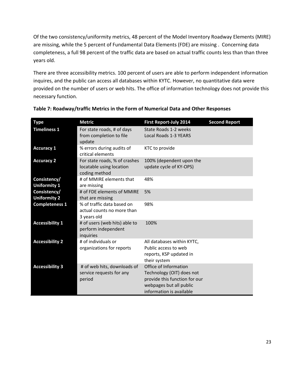Of the two consistency/uniformity metrics, 48 percent of the Model Inventory Roadway Elements (MIRE) are missing, while the 5 percent of Fundamental Data Elements (FDE) are missing . Concerning data completeness, a full 98 percent of the traffic data are based on actual traffic counts less than than three years old.

There are three accessibility metrics. 100 percent of users are able to perform independent information inquires, and the public can access all databases within KYTC. However, no quantitative data were provided on the number of users or web hits. The office of information technology does not provide this necessary function.

| <b>Type</b>                         | <b>Metric</b>                                                              | <b>First Report-July 2014</b>                                                                                                              | <b>Second Report</b> |
|-------------------------------------|----------------------------------------------------------------------------|--------------------------------------------------------------------------------------------------------------------------------------------|----------------------|
| <b>Timeliness 1</b>                 | For state roads, # of days<br>from completion to file<br>update            | State Roads 1-2 weeks<br><b>Local Roads 1-3 YEARS</b>                                                                                      |                      |
| <b>Accuracy 1</b>                   | % errors during audits of<br>critical elements                             | KTC to provide                                                                                                                             |                      |
| <b>Accuracy 2</b>                   | For state roads, % of crashes<br>locatable using location<br>coding method | 100% (dependent upon the<br>update cycle of KY-OPS)                                                                                        |                      |
| Consistency/<br><b>Uniformity 1</b> | # of MMIRE elements that<br>are missing                                    | 48%                                                                                                                                        |                      |
| Consistency/<br><b>Uniformity 2</b> | # of FDE elements of MMIRE<br>that are missing                             | 5%                                                                                                                                         |                      |
| <b>Completeness 1</b>               | % of traffic data based on<br>actual counts no more than<br>3 years old    | 98%                                                                                                                                        |                      |
| <b>Accessibility 1</b>              | # of users (web hits) able to<br>perform independent<br>inquiries          | 100%                                                                                                                                       |                      |
| <b>Accessibility 2</b>              | # of individuals or<br>organizations for reports                           | All databases within KYTC,<br>Public access to web<br>reports, KSP updated in<br>their system                                              |                      |
| <b>Accessibility 3</b>              | # of web hits, downloads of<br>service requests for any<br>period          | Office of Information<br>Technology (OIT) does not<br>provide this function for our<br>webpages but all public<br>information is available |                      |

| Table 7: Roadway/traffic Metrics in the Form of Numerical Data and Other Responses |
|------------------------------------------------------------------------------------|
|------------------------------------------------------------------------------------|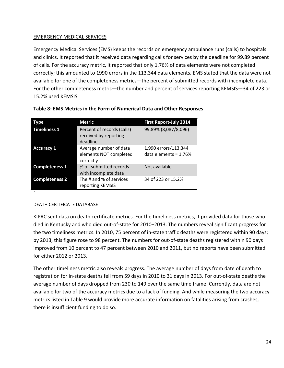### EMERGENCY MEDICAL SERVICES

Emergency Medical Services (EMS) keeps the records on emergency ambulance runs (calls) to hospitals and clinics. It reported that it received data regarding calls for services by the deadline for 99.89 percent of calls. For the accuracy metric, it reported that only 1.76% of data elements were not completed correctly; this amounted to 1990 errors in the 113,344 data elements. EMS stated that the data were not available for one of the completeness metrics—the percent of submitted records with incomplete data. For the other completeness metric—the number and percent of services reporting KEMSIS—34 of 223 or 15.2% used KEMSIS.

| Type                  | <b>Metric</b>                                                   | <b>First Report-July 2014</b>                   |
|-----------------------|-----------------------------------------------------------------|-------------------------------------------------|
| <b>Timeliness 1</b>   | Percent of records (calls)<br>received by reporting<br>deadline | 99.89% (8,087/8,096)                            |
| <b>Accuracy 1</b>     | Average number of data<br>elements NOT completed<br>correctly   | 1,990 errors/113,344<br>data elements = $1.76%$ |
| <b>Completeness 1</b> | % of submitted records<br>with incomplete data                  | Not available                                   |
| <b>Completeness 2</b> | The # and % of services<br>reporting KEMSIS                     | 34 of 223 or 15.2%                              |

#### **Table 8: EMS Metrics in the Form of Numerical Data and Other Responses**

#### DEATH CERTIFICATE DATABASE

`

KIPRC sent data on death certificate metrics. For the timeliness metrics, it provided data for those who died in Kentucky and who died out-of-state for 2010–2013. The numbers reveal significant progress for the two timeliness metrics. In 2010, 75 percent of in-state traffic deaths were registered within 90 days; by 2013, this figure rose to 98 percent. The numbers for out-of-state deaths registered within 90 days improved from 10 percent to 47 percent between 2010 and 2011, but no reports have been submitted for either 2012 or 2013.

The other timeliness metric also reveals progress. The average number of days from date of death to registration for in-state deaths fell from 59 days in 2010 to 31 days in 2013. For out-of-state deaths the average number of days dropped from 230 to 149 over the same time frame. Currently, data are not available for two of the accuracy metrics due to a lack of funding. And while measuring the two accuracy metrics listed in Table 9 would provide more accurate information on fatalities arising from crashes, there is insufficient funding to do so.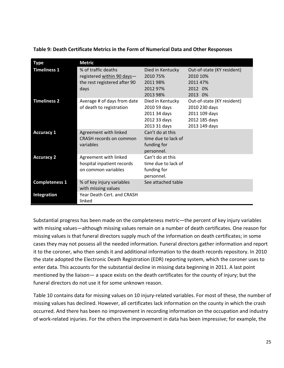| <b>Type</b>           | <b>Metric</b>                                                                             |                                                                                  |                                                                                                |
|-----------------------|-------------------------------------------------------------------------------------------|----------------------------------------------------------------------------------|------------------------------------------------------------------------------------------------|
| <b>Timeliness 1</b>   | % of traffic deaths<br>registered within 90 days-<br>the rest registered after 90<br>days | Died in Kentucky<br>2010 75%<br>2011 98%<br>2012 97%<br>2013 98%                 | Out-of-state (KY resident)<br>2010 10%<br>2011 47%<br>2012 0%<br>2013 0%                       |
| <b>Timeliness 2</b>   | Average # of days from date<br>of death to registration                                   | Died in Kentucky<br>2010 59 days<br>2011 34 days<br>2012 33 days<br>2013 31 days | Out-of-state (KY resident)<br>2010 230 days<br>2011 109 days<br>2012 185 days<br>2013 149 days |
| <b>Accuracy 1</b>     | Agreement with linked<br>CRASH records on common<br>variables                             | Can't do at this<br>time due to lack of<br>funding for<br>personnel.             |                                                                                                |
| <b>Accuracy 2</b>     | Agreement with linked<br>hospital inpatient records<br>on common variables                | Can't do at this<br>time due to lack of<br>funding for<br>personnel.             |                                                                                                |
| <b>Completeness 1</b> | % of key injury variables<br>with missing values                                          | See attached table                                                               |                                                                                                |
| Integration           | Year Death Cert, and CRASH<br>linked                                                      |                                                                                  |                                                                                                |

**Table 9: Death Certificate Metrics in the Form of Numerical Data and Other Responses** 

Substantial progress has been made on the completeness metric—the percent of key injury variables with missing values—although missing values remain on a number of death certificates. One reason for missing values is that funeral directors supply much of the information on death certificates; in some cases they may not possess all the needed information. Funeral directors gather information and report it to the coroner, who then sends it and additional information to the death records repository. In 2010 the state adopted the Electronic Death Registration (EDR) reporting system, which the coroner uses to enter data. This accounts for the substantial decline in missing data beginning in 2011. A last point mentioned by the liaison— a space exists on the death certificates for the county of injury; but the funeral directors do not use it for some unknown reason.

Table 10 contains data for missing values on 10 injury-related variables. For most of these, the number of missing values has declined. However, all certificates lack information on the county in which the crash occurred. And there has been no improvement in recording information on the occupation and industry of work-related injuries. For the others the improvement in data has been impressive; for example, the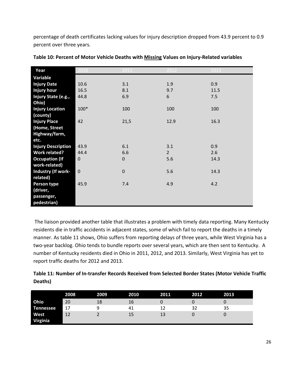percentage of death certificates lacking values for injury description dropped from 43.9 percent to 0.9 percent over three years.

| Year                      | 2010        | 2011        | 2012        | 2013 |
|---------------------------|-------------|-------------|-------------|------|
| Variable                  |             |             |             |      |
| <b>Injury Date</b>        | 10.6        | 3.1         | 1.9         | 0.9  |
| <b>Injury hour</b>        | 16.5        | 8.1         | 9.7         | 11.5 |
| Injury State (e.g.,       | 44.8        | 6.9         | 6           | 7.5  |
| Ohio)                     |             |             |             |      |
| <b>Injury Location</b>    | 100*        | 100         | 100         | 100  |
| (county)                  |             |             |             |      |
| <b>Injury Place</b>       | 42          | 21,5        | 12.9        | 16.3 |
| (Home, Street             |             |             |             |      |
| Highway/farm,             |             |             |             |      |
| etc.                      |             |             |             |      |
| <b>Injury Description</b> | 43.9        | 6.1         | 3.1         | 0.9  |
| <b>Work related?</b>      | 44.4        | 6.6         | $2^{\circ}$ | 2.6  |
| <b>Occupation (If</b>     | $\mathbf 0$ | $\mathbf 0$ | 5.6         | 14.3 |
| work-related)             |             |             |             |      |
| <b>Industry (If work-</b> | $\mathbf 0$ | $\mathbf 0$ | 5.6         | 14.3 |
| related)                  |             |             |             |      |
| Person type               | 45.9        | 7.4         | 4.9         | 4.2  |
| (driver,                  |             |             |             |      |
| passenger,                |             |             |             |      |
| pedestrian)               |             |             |             |      |

| Table 10: Percent of Motor Vehicle Deaths with Missing Values on Injury-Related variables |
|-------------------------------------------------------------------------------------------|
|-------------------------------------------------------------------------------------------|

 The liaison provided another table that illustrates a problem with timely data reporting. Many Kentucky residents die in traffic accidents in adjacent states, some of which fail to report the deaths in a timely manner. As table 11 shows, Ohio suffers from reporting delays of three years, while West Virginia has a two-year backlog. Ohio tends to bundle reports over several years, which are then sent to Kentucky. A number of Kentucky residents died in Ohio in 2011, 2012, and 2013. Similarly, West Virginia has yet to report traffic deaths for 2012 and 2013.

| Table 11: Number of In-transfer Records Received from Selected Border States (Motor Vehicle Traffic |  |
|-----------------------------------------------------------------------------------------------------|--|
| Deaths)                                                                                             |  |

|                         | 2008 | 2009 | 2010 | 2011 | 2012 | 2013 |
|-------------------------|------|------|------|------|------|------|
| Ohio                    | 20   | 18   | 16   |      |      |      |
| <b>Tennessee</b>        | 17   | a    | 41   |      | 32   | 35   |
| West<br><b>Virginia</b> | 12   |      | 15   | 13   |      |      |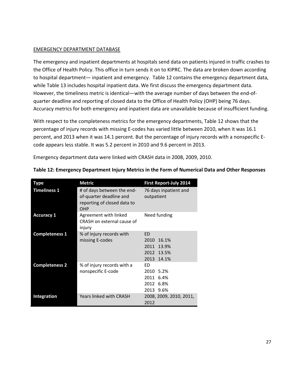#### EMERGENCY DEPARTMENT DATABASE

The emergency and inpatient departments at hospitals send data on patients injured in traffic crashes to the Office of Health Policy. This office in turn sends it on to KIPRC. The data are broken down according to hospital department— inpatient and emergency. Table 12 contains the emergency department data, while Table 13 includes hospital inpatient data. We first discuss the emergency department data. However, the timeliness metric is identical—with the average number of days between the end-ofquarter deadline and reporting of closed data to the Office of Health Policy (OHP) being 76 days. Accuracy metrics for both emergency and inpatient data are unavailable because of insufficient funding.

With respect to the completeness metrics for the emergency departments, Table 12 shows that the percentage of injury records with missing E-codes has varied little between 2010, when it was 16.1 percent, and 2013 when it was 14.1 percent. But the percentage of injury records with a nonspecific Ecode appears less stable. It was 5.2 percent in 2010 and 9.6 percent in 2013.

Emergency department data were linked with CRASH data in 2008, 2009, 2010.

| <b>Type</b>           | <b>Metric</b>                                                                               | <b>First Report-July 2014</b>       |
|-----------------------|---------------------------------------------------------------------------------------------|-------------------------------------|
| <b>Timeliness 1</b>   | # of days between the end-<br>of-quarter deadline and<br>reporting of closed data to<br>OHP | 76 days inpatient and<br>outpatient |
| <b>Accuracy 1</b>     | Agreement with linked<br>CRASH on external cause of<br>injury                               | Need funding                        |
| <b>Completeness 1</b> | % of injury records with                                                                    | <b>ED</b>                           |
|                       | missing E-codes                                                                             | 2010<br>16.1%                       |
|                       |                                                                                             | 2011<br>13.9%                       |
|                       |                                                                                             | 2012 13.5%                          |
|                       |                                                                                             | 2013 14.1%                          |
| <b>Completeness 2</b> | % of injury records with a                                                                  | ED.                                 |
|                       | nonspecific E-code                                                                          | 2010 5.2%                           |
|                       |                                                                                             | 2011 6.4%                           |
|                       |                                                                                             | 2012 6.8%                           |
|                       |                                                                                             | 2013 9.6%                           |
| Integration           | <b>Years linked with CRASH</b>                                                              | 2008, 2009, 2010, 2011,<br>2012     |

**Table 12: Emergency Department Injury Metrics in the Form of Numerical Data and Other Responses**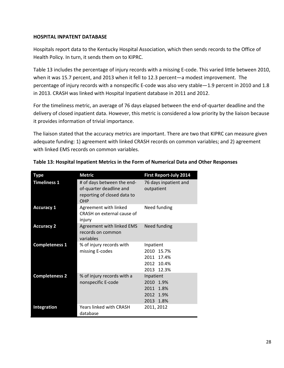#### **HOSPITAL INPATENT DATABASE**

Hospitals report data to the Kentucky Hospital Association, which then sends records to the Office of Health Policy. In turn, it sends them on to KIPRC.

Table 13 includes the percentage of injury records with a missing E-code. This varied little between 2010, when it was 15.7 percent, and 2013 when it fell to 12.3 percent—a modest improvement. The percentage of injury records with a nonspecific E-code was also very stable—1.9 percent in 2010 and 1.8 in 2013. CRASH was linked with Hospital Inpatient database in 2011 and 2012.

For the timeliness metric, an average of 76 days elapsed between the end-of-quarter deadline and the delivery of closed inpatient data. However, this metric is considered a low priority by the liaison because it provides information of trivial importance.

The liaison stated that the accuracy metrics are important. There are two that KIPRC can measure given adequate funding: 1) agreement with linked CRASH records on common variables; and 2) agreement with linked EMS records on common variables.

| Type                  | <b>Metric</b>                                                                               | <b>First Report-July 2014</b>                                           |
|-----------------------|---------------------------------------------------------------------------------------------|-------------------------------------------------------------------------|
| <b>Timeliness 1</b>   | # of days between the end-<br>of-quarter deadline and<br>reporting of closed data to<br>OHP | 76 days inpatient and<br>outpatient                                     |
| <b>Accuracy 1</b>     | Agreement with linked<br>CRASH on external cause of<br>injury                               | Need funding                                                            |
| <b>Accuracy 2</b>     | Agreement with linked EMS<br>records on common<br>variables                                 | Need funding                                                            |
| <b>Completeness 1</b> | % of injury records with<br>missing E-codes                                                 | Inpatient<br>2010 15.7%<br>2011<br>17.4%<br>2012 10.4%<br>2013<br>12.3% |
| <b>Completeness 2</b> | % of injury records with a<br>nonspecific E-code                                            | Inpatient<br>2010 1.9%<br>2011<br>1.8%<br>2012 1.9%<br>2013 1.8%        |
| <b>Integration</b>    | <b>Years linked with CRASH</b><br>database                                                  | 2011, 2012                                                              |

| Table 13: Hospital Inpatient Metrics in the Form of Numerical Data and Other Responses |  |
|----------------------------------------------------------------------------------------|--|
|----------------------------------------------------------------------------------------|--|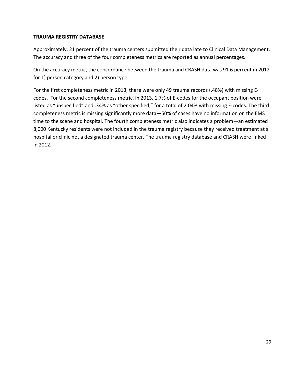#### **TRAUMA REGISTRY DATABASE**

Approximately, 21 percent of the trauma centers submitted their data late to Clinical Data Management. The accuracy and three of the four completeness metrics are reported as annual percentages.

On the accuracy metric, the concordance between the trauma and CRASH data was 91.6 percent in 2012 for 1) person category and 2) person type.

For the first completeness metric in 2013, there were only 49 trauma records (.48%) with missing Ecodes. For the second completeness metric, in 2013, 1.7% of E-codes for the occupant position were listed as "unspecified" and .34% as "other specified," for a total of 2.04% with missing E-codes. The third completeness metric is missing significantly more data—50% of cases have no information on the EMS time to the scene and hospital. The fourth completeness metric also indicates a problem—an estimated 8,000 Kentucky residents were not included in the trauma registry because they received treatment at a hospital or clinic not a designated trauma center. The trauma registry database and CRASH were linked in 2012.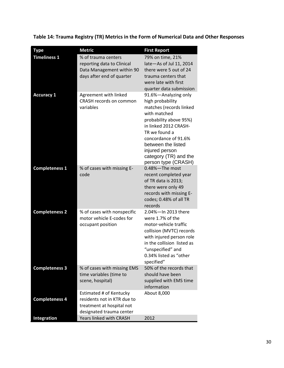**Table 14: Trauma Registry (TR) Metrics in the Form of Numerical Data and Other Responses** 

| <b>Type</b>           | <b>Metric</b>                                                                                                   | <b>First Report</b>                                                                                                                                                                                                                                                     |
|-----------------------|-----------------------------------------------------------------------------------------------------------------|-------------------------------------------------------------------------------------------------------------------------------------------------------------------------------------------------------------------------------------------------------------------------|
| <b>Timeliness 1</b>   | % of trauma centers<br>reporting data to Clinical<br>Data Management within 90<br>days after end of quarter     | 79% on time, 21%<br>late-As of Jul 11, 2014<br>there were 5 out of 24<br>trauma centers that<br>were late with first<br>quarter data submission                                                                                                                         |
| <b>Accuracy 1</b>     | Agreement with linked<br><b>CRASH records on common</b><br>variables                                            | 91.6%-Analyzing only<br>high probability<br>matches (records linked<br>with matched<br>probability above 95%)<br>in linked 2012 CRASH-<br>TR we found a<br>concordance of 91.6%<br>between the listed<br>injured person<br>category (TR) and the<br>person type (CRASH) |
| <b>Completeness 1</b> | % of cases with missing E-<br>code                                                                              | 0.48%-The most<br>recent completed year<br>of TR data is 2013;<br>there were only 49<br>records with missing E-<br>codes; 0.48% of all TR<br>records                                                                                                                    |
| <b>Completeness 2</b> | % of cases with nonspecific<br>motor vehicle E-codes for<br>occupant position                                   | 2.04%-In 2013 there<br>were 1.7% of the<br>motor-vehicle traffic<br>collision (MVTC) records<br>with injured person role<br>in the collision listed as<br>"unspecified" and<br>0.34% listed as "other<br>specified"                                                     |
| <b>Completeness 3</b> | % of cases with missing EMS<br>time variables (time to<br>scene, hospital)                                      | 50% of the records that<br>should have been<br>supplied with EMS time<br>information                                                                                                                                                                                    |
| <b>Completeness 4</b> | Estimated # of Kentucky<br>residents not in KTR due to<br>treatment at hospital not<br>designated trauma center | About 8,000                                                                                                                                                                                                                                                             |
| Integration           | Years linked with CRASH                                                                                         | 2012                                                                                                                                                                                                                                                                    |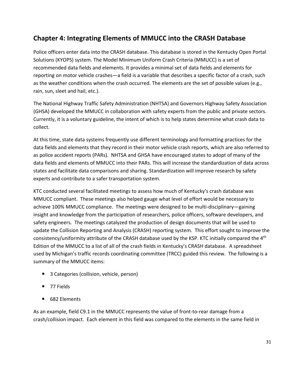# **Chapter 4: Integrating Elements of MMUCC into the CRASH Database**

Police officers enter data into the CRASH database. This database is stored in the Kentucky Open Portal Solutions (KYOPS) system. The Model Minimum Uniform Crash Criteria (MMUCC) is a set of recommended data fields and elements. It provides a minimal set of data fields and elements for reporting on motor vehicle crashes—a field is a variable that describes a specific factor of a crash, such as the weather conditions when the crash occurred. The elements are the set of possible values (e.g., rain, sun, sleet and hail, etc.).

The National Highway Traffic Safety Administration (NHTSA) and Governors Highway Safety Association (GHSA) developed the MMUCC in collaboration with safety experts from the public and private sectors. Currently, it is a voluntary guideline, the intent of which is to help states determine what crash data to collect.

At this time, state data systems frequently use different terminology and formatting practices for the data fields and elements that they record in their motor vehicle crash reports, which are also referred to as police accident reports (PARs). NHTSA and GHSA have encouraged states to adopt of many of the data fields and elements of MMUCC into their PARs. This will increase the standardization of data across states and facilitate data comparisons and sharing. Standardization will improve research by safety experts and contribute to a safer transportation system.

KTC conducted several facilitated meetings to assess how much of Kentucky's crash database was MMUCC compliant. These meetings also helped gauge what level of effort would be necessary to achieve 100% MMUCC compliance. The meetings were designed to be multi-disciplinary—gaining insight and knowledge from the participation of researchers, police officers, software developers, and safety engineers. The meetings catalyzed the production of design documents that will be used to update the Collision Reporting and Analysis (CRASH) reporting system. This effort sought to improve the consistency/uniformity attribute of the CRASH database used by the KSP. KTC initially compared the 4th Edition of the MMUCC to a list of all of the crash fields in Kentucky's CRASH database. A spreadsheet used by Michigan's traffic records coordinating committee (TRCC) guided this review. The following is a summary of the MMUCC items:

- 3 Categories (collision, vehicle, person)
- 77 Fields
- 682 Elements

As an example, field C9.1 in the MMUCC represents the value of front-to-rear damage from a crash/collision impact. Each element in this field was compared to the elements in the same field in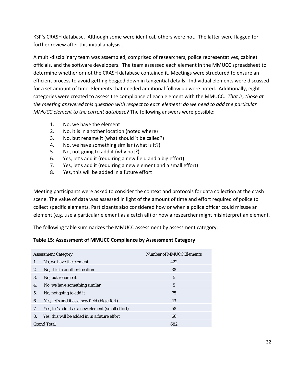KSP's CRASH database. Although some were identical, others were not. The latter were flagged for further review after this initial analysis..

A multi-disciplinary team was assembled, comprised of researchers, police representatives, cabinet officials, and the software developers. The team assessed each element in the MMUCC spreadsheet to determine whether or not the CRASH database contained it. Meetings were structured to ensure an efficient process to avoid getting bogged down in tangential details. Individual elements were discussed for a set amount of time. Elements that needed additional follow up were noted. Additionally, eight categories were created to assess the compliance of each element with the MMUCC. *That is, those at the meeting answered this question with respect to each element: do we need to add the particular MMUCC element to the current database?* The following answers were possible:

- 1. No, we have the element
- 2. No, it is in another location (noted where)
- 3. No, but rename it (what should it be called?)
- 4. No, we have something similar (what is it?)
- 5. No, not going to add it (why not?)
- 6. Yes, let's add it (requiring a new field and a big effort)
- 7. Yes, let's add it (requiring a new element and a small effort)
- 8. Yes, this will be added in a future effort

Meeting participants were asked to consider the context and protocols for data collection at the crash scene. The value of data was assessed in light of the amount of time and effort required of police to collect specific elements. Participants also considered how or when a police officer could misuse an element (e.g. use a particular element as a catch all) or how a researcher might misinterpret an element.

The following table summarizes the MMUCC assessment by assessment category:

#### **Table 15: Assessment of MMUCC Compliance by Assessment Category**

|    | <b>Assessment Category</b>                        | <b>Number of MMUCC Elements</b> |
|----|---------------------------------------------------|---------------------------------|
| 1. | No, we have the element                           | 422                             |
| 2. | No, it is in another location                     | 38                              |
| 3. | No, but rename it                                 | $\overline{5}$                  |
| 4. | No, we have something similar                     | 5                               |
| 5. | No, not going to add it                           | 75                              |
| 6. | Yes, let's add it as a new field (big effort)     | 13                              |
| 7. | Yes, let's add it as a new element (small effort) | 58                              |
| 8. | Yes, this will be added in in a future effort     | 66                              |
|    | <b>Grand Total</b>                                | 682                             |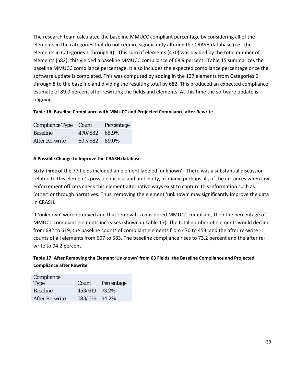The research team calculated the baseline MMUCC compliant percentage by considering all of the elements in the categories that do not require significantly altering the CRASH database (i.e., the elements in Categories 1 through 4). This sum of elements (470) was divided by the total number of elements (682); this yielded a baseline MMUCC compliance of 68.9 percent. Table 15 summarizes the baseline MMUCC compliance percentage. It also includes the expected compliance percentage once the software update is completed. This was computed by adding in the 137 elements from Categories 6 through 8 to the baseline and dividing the resulting total by 682. This produced an expected compliance estimate of 89.0 percent after rewriting the fields and elements. At this time the software update is ongoing.

#### **Table 16: Baseline Compliance with MMUCC and Projected Compliance after Rewrite**

| Compliance Type Count |               | Percentage |
|-----------------------|---------------|------------|
| <b>Baseline</b>       | 470/682 68.9% |            |
| After Re-write        | 607/682 89.0% |            |

#### **A Possible Change to Improve the CRASH database**

Sixty-three of the 77 fields included an element labeled 'unknown'. There was a substantial discussion related to this element's possible misuse and ambiguity, as many, perhaps all, of the instances when law enforcement officers check this element alternative ways exist to capture this information such as 'other' or through narratives. Thus, removing the element 'unknown' may significantly improve the data in CRASH.

If 'unknown' were removed and that removal is considered MMUCC compliant, then the percentage of MMUCC compliant elements increases (shown in Table 17). The total number of elements would decline from 682 to 619, the baseline counts of compliant elements from 470 to 453, and the after re-write counts of all elements from 607 to 583. The baseline compliance rises to 73.2 percent and the after rewrite to 94.2 percent.

#### **Table 17: After Removing the Element 'Unknown' from 63 Fields, the Baseline Compliance and Projected Compliance after Rewrite**

| Compliance            |               |            |
|-----------------------|---------------|------------|
| <b>Type</b>           | Count         | Percentage |
| <b>Baseline</b>       | 453/619 73.2% |            |
| <b>After Re-write</b> | 583/619 94.2% |            |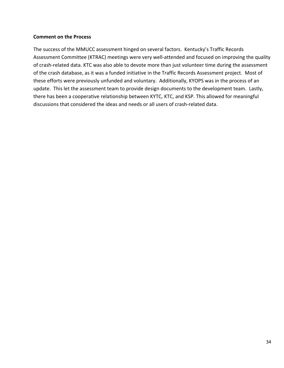#### **Comment on the Process**

The success of the MMUCC assessment hinged on several factors. Kentucky's Traffic Records Assessment Committee (KTRAC) meetings were very well-attended and focused on improving the quality of crash-related data. KTC was also able to devote more than just volunteer time during the assessment of the crash database, as it was a funded initiative in the Traffic Records Assessment project. Most of these efforts were previously unfunded and voluntary. Additionally, KYOPS was in the process of an update. This let the assessment team to provide design documents to the development team. Lastly, there has been a cooperative relationship between KYTC, KTC, and KSP. This allowed for meaningful discussions that considered the ideas and needs or all users of crash-related data.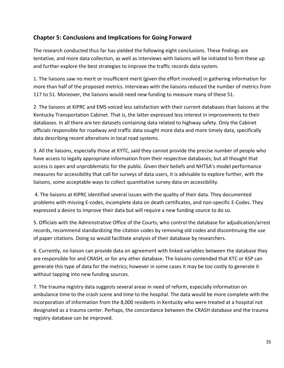# **Chapter 5: Conclusions and Implications for Going Forward**

The research conducted thus far has yielded the following eight conclusions. These findings are tentative, and more data collection, as well as interviews with liaisons will be initiated to firm these up and further explore the best strategies to improve the traffic records data system.

1. The liaisons saw no merit or insufficient merit (given the effort involved) in gathering information for more than half of the proposed metrics. Interviews with the liaisons reduced the number of metrics from 117 to 51. Moreover, the liaisons would need new funding to measure many of these 51.

2. The liaisons at KIPRC and EMS voiced less satisfaction with their current databases than liaisons at the Kentucky Transportation Cabinet. That is, the latter expressed less interest in improvements to their databases. In all there are ten datasets containing data related to highway safety. Only the Cabinet officials responsible for roadway and traffic data sought more data and more timely data, specifically data describing recent alterations in local road systems.

3. All the liaisons, especially those at KYTC, said they cannot provide the precise number of people who have access to legally appropriate information from their respective databases; but all thought that access is open and unproblematic for the public. Given their beliefs and NHTSA's model performance measures for accessibility that call for surveys of data users, it is advisable to explore further, with the liaisons, some acceptable ways to collect quantitative survey data on accessibility.

4. The liaisons at KIPRC identified several issues with the quality of their data. They documented problems with missing E-codes, incomplete data on death certificates, and non-specific E-Codes. They expressed a desire to improve their data but will require a new funding source to do so.

5. Officials with the Administrative Office of the Courts, who control the database for adjudication/arrest records, recommend standardizing the citation codes by removing old codes and discontinuing the use of paper citations. Doing so would facilitate analysis of their database by researchers.

6. Currently, no liaison can provide data on agreement with linked variables between the database they are responsible for and CRASH, or for any other database. The liaisons contended that KTC or KSP can generate this type of data for the metrics; however in some cases it may be too costly to generate it without tapping into new funding sources.

7. The trauma registry data suggests several areas in need of reform, especially information on ambulance time to the crash scene and time to the hospital. The data would be more complete with the incorporation of information from the 8,000 residents in Kentucky who were treated at a hospital not designated as a trauma center. Perhaps, the concordance between the CRASH database and the trauma registry database can be improved.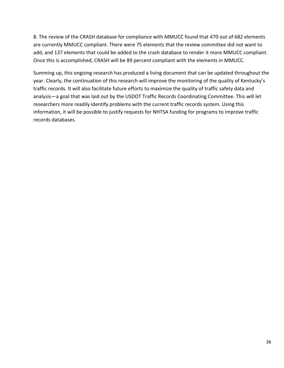8. The review of the CRASH database for compliance with MMUCC found that 470 out of 682 elements are currently MMUCC compliant. There were 75 elements that the review committee did not want to add, and 137 elements that could be added to the crash database to render it more MMUCC compliant. Once this is accomplished, CRASH will be 89 percent compliant with the elements in MMUCC.

Summing up, this ongoing research has produced a living document that can be updated throughout the year. Clearly, the continuation of this research will improve the monitoring of the quality of Kentucky's traffic records. It will also facilitate future efforts to maximize the quality of traffic safety data and analysis—a goal that was laid out by the USDOT Traffic Records Coordinating Committee. This will let researchers more readily identify problems with the current traffic records system. Using this information, it will be possible to justify requests for NHTSA funding for programs to improve traffic records databases.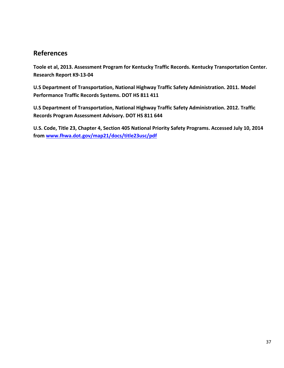# **References**

**Toole et al, 2013. Assessment Program for Kentucky Traffic Records. Kentucky Transportation Center. Research Report K9-13-04** 

**U.S Department of Transportation, National Highway Traffic Safety Administration. 2011. Model Performance Traffic Records Systems. DOT HS 811 411** 

**U.S Department of Transportation, National Highway Traffic Safety Administration. 2012. Traffic Records Program Assessment Advisory. DOT HS 811 644** 

**U.S. Code, Title 23, Chapter 4, Section 405 National Priority Safety Programs. Accessed July 10, 2014 from www.fhwa.dot.gov/map21/docs/title23usc/pdf**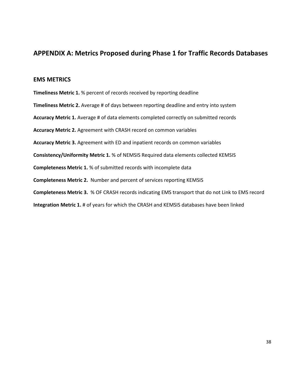# **APPENDIX A: Metrics Proposed during Phase 1 for Traffic Records Databases**

#### **EMS METRICS**

**Timeliness Metric 1.** % percent of records received by reporting deadline **Timeliness Metric 2.** Average # of days between reporting deadline and entry into system **Accuracy Metric 1.** Average # of data elements completed correctly on submitted records **Accuracy Metric 2.** Agreement with CRASH record on common variables **Accuracy Metric 3.** Agreement with ED and inpatient records on common variables **Consistency/Uniformity Metric 1.** % of NEMSIS Required data elements collected KEMSIS **Completeness Metric 1.** % of submitted records with incomplete data **Completeness Metric 2.** Number and percent of services reporting KEMSIS **Completeness Metric 3.** % OF CRASH records indicating EMS transport that do not Link to EMS record **Integration Metric 1.** # of years for which the CRASH and KEMSIS databases have been linked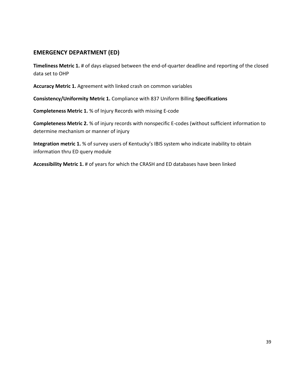# **EMERGENCY DEPARTMENT (ED)**

**Timeliness Metric 1.** # of days elapsed between the end-of-quarter deadline and reporting of the closed data set to OHP

**Accuracy Metric 1.** Agreement with linked crash on common variables

**Consistency/Uniformity Metric 1.** Compliance with 837 Uniform Billing **Specifications** 

**Completeness Metric 1.** % of Injury Records with missing E-code

**Completeness Metric 2.** % of injury records with nonspecific E-codes (without sufficient information to determine mechanism or manner of injury

**Integration metric 1.** % of survey users of Kentucky's IBIS system who indicate inability to obtain information thru ED query module

**Accessibility Metric 1.** # of years for which the CRASH and ED databases have been linked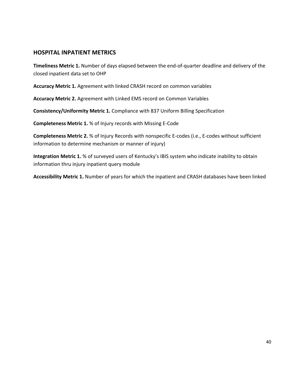### **HOSPITAL INPATIENT METRICS**

**Timeliness Metric 1.** Number of days elapsed between the end-of-quarter deadline and delivery of the closed inpatient data set to OHP

**Accuracy Metric 1.** Agreement with linked CRASH record on common variables

**Accuracy Metric 2.** Agreement with Linked EMS record on Common Variables

**Consistency/Uniformity Metric 1.** Compliance with 837 Uniform Billing Specification

**Completeness Metric 1.** % of Injury records with Missing E-Code

**Completeness Metric 2.** % of Injury Records with nonspecific E-codes (i.e., E-codes without sufficient information to determine mechanism or manner of injury)

**Integration Metric 1.** % of surveyed users of Kentucky's IBIS system who indicate inability to obtain information thru injury inpatient query module

**Accessibility Metric 1.** Number of years for which the inpatient and CRASH databases have been linked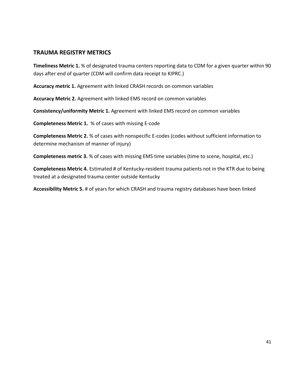### **TRAUMA REGISTRY METRICS**

**Timeliness Metric 1.** % of designated trauma centers reporting data to CDM for a given quarter within 90 days after end of quarter (CDM will confirm data receipt to KIPRC.)

**Accuracy metric 1.** Agreement with linked CRASH records on common variables

**Accuracy Metric 2.** Agreement with linked EMS record on common variables

**Consistency/uniformity Metric 1.** Agreement with linked EMS record on common variables

**Completeness Metric 1.** % of cases with missing E-code

**Completeness Metric 2.** % of cases with nonspecific E-codes (codes without sufficient information to determine mechanism of manner of injury)

**Completeness metric 3.** % of cases with missing EMS time variables (time to scene, hospital, etc.)

**Completeness Metric 4.** Estimated # of Kentucky-resident trauma patients not in the KTR due to being treated at a designated trauma center outside Kentucky

**Accessibility Metric 5.** # of years for which CRASH and trauma registry databases have been linked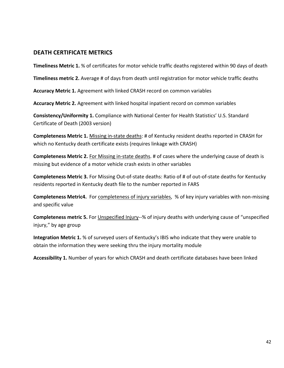### **DEATH CERTIFICATE METRICS**

**Timeliness Metric 1.** % of certificates for motor vehicle traffic deaths registered within 90 days of death

**Timeliness metric 2.** Average # of days from death until registration for motor vehicle traffic deaths

**Accuracy Metric 1.** Agreement with linked CRASH record on common variables

**Accuracy Metric 2.** Agreement with linked hospital inpatient record on common variables

**Consistency/Uniformity 1.** Compliance with National Center for Health Statistics' U.S. Standard Certificate of Death (2003 version)

**Completeness Metric 1.** Missing in-state deaths: # of Kentucky resident deaths reported in CRASH for which no Kentucky death certificate exists (requires linkage with CRASH)

**Completeness Metric 2.** For Missing in-state deaths. # of cases where the underlying cause of death is missing but evidence of a motor vehicle crash exists in other variables

**Completeness Metric 3.** For Missing Out-of-state deaths: Ratio of # of out-of-state deaths for Kentucky residents reported in Kentucky death file to the number reported in FARS

**Completeness Metric4.** For completeness of injury variables, % of key injury variables with non-missing and specific value

**Completeness metric 5.** For Unspecified Injury--% of injury deaths with underlying cause of "unspecified injury," by age group

**Integration Metric 1.** % of surveyed users of Kentucky's IBIS who indicate that they were unable to obtain the information they were seeking thru the injury mortality module

**Accessibility 1.** Number of years for which CRASH and death certificate databases have been linked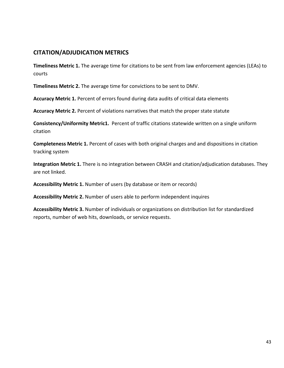# **CITATION/ADJUDICATION METRICS**

**Timeliness Metric 1.** The average time for citations to be sent from law enforcement agencies (LEAs) to courts

**Timeliness Metric 2.** The average time for convictions to be sent to DMV.

**Accuracy Metric 1.** Percent of errors found during data audits of critical data elements

**Accuracy Metric 2.** Percent of violations narratives that match the proper state statute

**Consistency/Uniformity Metric1.** Percent of traffic citations statewide written on a single uniform citation

**Completeness Metric 1.** Percent of cases with both original charges and and dispositions in citation tracking system

**Integration Metric 1.** There is no integration between CRASH and citation/adjudication databases. They are not linked.

**Accessibility Metric 1.** Number of users (by database or item or records)

**Accessibility Metric 2.** Number of users able to perform independent inquires

**Accessibility Metric 3.** Number of individuals or organizations on distribution list for standardized reports, number of web hits, downloads, or service requests.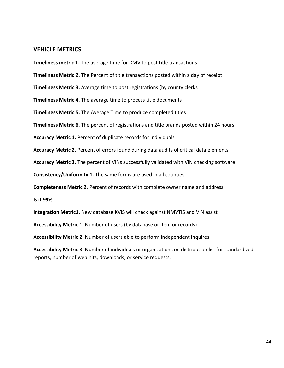#### **VEHICLE METRICS**

**Timeliness metric 1.** The average time for DMV to post title transactions

**Timeliness Metric 2.** The Percent of title transactions posted within a day of receipt

**Timeliness Metric 3.** Average time to post registrations (by county clerks

**Timeliness Metric 4.** The average time to process title documents

**Timeliness Metric 5.** The Average Time to produce completed titles

**Timeliness Metric 6.** The percent of registrations and title brands posted within 24 hours

**Accuracy Metric 1.** Percent of duplicate records for individuals

**Accuracy Metric 2.** Percent of errors found during data audits of critical data elements

**Accuracy Metric 3.** The percent of VINs successfully validated with VIN checking software

**Consistency/Uniformity 1.** The same forms are used in all counties

**Completeness Metric 2.** Percent of records with complete owner name and address

**Is it 99%** 

**Integration Metric1.** New database KVIS will check against NMVTIS and VIN assist

**Accessibility Metric 1.** Number of users (by database or item or records)

**Accessibility Metric 2.** Number of users able to perform independent inquires

**Accessibility Metric 3.** Number of individuals or organizations on distribution list for standardized reports, number of web hits, downloads, or service requests.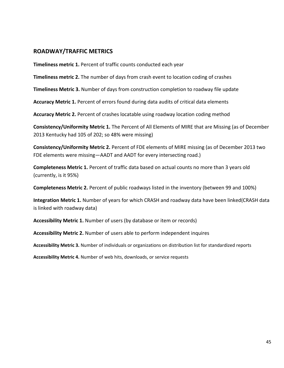### **ROADWAY/TRAFFIC METRICS**

**Timeliness metric 1.** Percent of traffic counts conducted each year

**Timeliness metric 2.** The number of days from crash event to location coding of crashes

**Timeliness Metric 3.** Number of days from construction completion to roadway file update

**Accuracy Metric 1.** Percent of errors found during data audits of critical data elements

**Accuracy Metric 2.** Percent of crashes locatable using roadway location coding method

**Consistency/Uniformity Metric 1.** The Percent of All Elements of MIRE that are Missing (as of December 2013 Kentucky had 105 of 202; so 48% were missing)

**Consistency/Uniformity Metric 2.** Percent of FDE elements of MIRE missing (as of December 2013 two FDE elements were missing—AADT and AADT for every intersecting road.)

**Completeness Metric 1.** Percent of traffic data based on actual counts no more than 3 years old (currently, is it 95%)

**Completeness Metric 2.** Percent of public roadways listed in the inventory (between 99 and 100%)

**Integration Metric 1.** Number of years for which CRASH and roadway data have been linked(CRASH data is linked with roadway data)

**Accessibility Metric 1.** Number of users (by database or item or records)

**Accessibility Metric 2.** Number of users able to perform independent inquires

**Accessibility Metric 3.** Number of individuals or organizations on distribution list for standardized reports

**Accessibility Metric 4.** Number of web hits, downloads, or service requests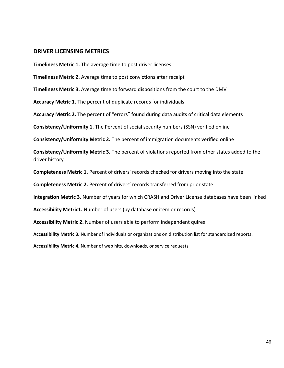#### **DRIVER LICENSING METRICS**

**Timeliness Metric 1.** The average time to post driver licenses

**Timeliness Metric 2.** Average time to post convictions after receipt

**Timeliness Metric 3.** Average time to forward dispositions from the court to the DMV

**Accuracy Metric 1.** The percent of duplicate records for individuals

**Accuracy Metric 2.** The percent of "errors" found during data audits of critical data elements

**Consistency/Uniformity 1.** The Percent of social security numbers (SSN) verified online

**Consistency/Uniformity Metric 2.** The percent of immigration documents verified online

**Consistency/Uniformity Metric 3.** The percent of violations reported from other states added to the driver history

**Completeness Metric 1.** Percent of drivers' records checked for drivers moving into the state

**Completeness Metric 2.** Percent of drivers' records transferred from prior state

**Integration Metric 3.** Number of years for which CRASH and Driver License databases have been linked

**Accessibility Metric1.** Number of users (by database or item or records)

**Accessibility Metric 2.** Number of users able to perform independent quires

**Accessibility Metric 3.** Number of individuals or organizations on distribution list for standardized reports.

**Accessibility Metric 4.** Number of web hits, downloads, or service requests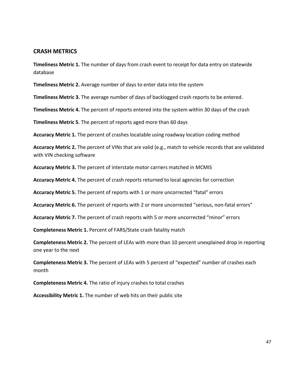#### **CRASH METRICS**

**Timeliness Metric 1.** The number of days from crash event to receipt for data entry on statewide database

**Timeliness Metric 2.** Average number of days to enter data into the system

**Timeliness Metric 3.** The average number of days of backlogged crash reports to be entered.

**Timeliness Metric 4.** The percent of reports entered into the system within 30 days of the crash

**Timeliness Metric 5**. The percent of reports aged more than 60 days

**Accuracy Metric 1.** The percent of crashes locatable using roadway location coding method

**Accuracy Metric 2.** The percent of VINs that are valid (e.g., match to vehicle records that are validated with VIN checking software

**Accuracy Metric 3.** The percent of interstate motor carriers matched in MCMIS

**Accuracy Metric 4.** The percent of crash reports returned to local agencies for correction

**Accuracy Metric 5.** The percent of reports with 1 or more uncorrected "fatal" errors

**Accuracy Metric 6.** The percent of reports with 2 or more uncorrected "serious, non-fatal errors"

**Accuracy Metric 7.** The percent of crash reports with 5 or more uncorrected "minor" errors

**Completeness Metric 1.** Percent of FARS/State crash fatality match

**Completeness Metric 2.** The percent of LEAs with more than 10 percent unexplained drop in reporting one year to the next

**Completeness Metric 3.** The percent of LEAs with 5 percent of "expected" number of crashes each month

**Completeness Metric 4.** The ratio of injury crashes to total crashes

**Accessibility Metric 1.** The number of web hits on their public site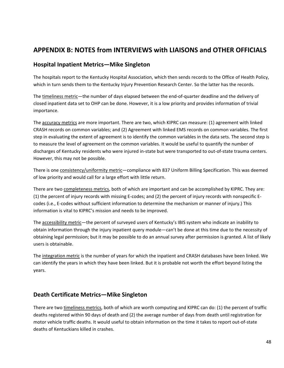# **APPENDIX B: NOTES from INTERVIEWS with LIAISONS and OTHER OFFICIALS**

### **Hospital Inpatient Metrics—Mike Singleton**

The hospitals report to the Kentucky Hospital Association, which then sends records to the Office of Health Policy, which in turn sends them to the Kentucky Injury Prevention Research Center. So the latter has the records.

The timeliness metric—the number of days elapsed between the end-of-quarter deadline and the delivery of closed inpatient data set to OHP can be done. However, it is a low priority and provides information of trivial importance.

The accuracy metrics are more important. There are two, which KIPRC can measure: (1) agreement with linked CRASH records on common variables; and (2) Agreement with linked EMS records on common variables. The first step in evaluating the extent of agreement is to identify the common variables in the data sets. The second step is to measure the level of agreement on the common variables. It would be useful to quantify the number of discharges of Kentucky residents who were injured in-state but were transported to out-of-state trauma centers. However, this may not be possible.

There is one consistency/uniformity metric—compliance with 837 Uniform Billing Specification. This was deemed of low priority and would call for a large effort with little return.

There are two completeness metrics, both of which are important and can be accomplished by KIPRC. They are: (1) the percent of injury records with missing E-codes; and (2) the percent of injury records with nonspecific Ecodes (i.e., E-codes without sufficient information to determine the mechanism or manner of injury.) This information is vital to KIPRC's mission and needs to be improved.

The accessibility metric—the percent of surveyed users of Kentucky's IBIS system who indicate an inability to obtain information through the injury inpatient query module—can't be done at this time due to the necessity of obtaining legal permission; but it may be possible to do an annual survey after permission is granted. A list of likely users is obtainable.

The integration metric is the number of years for which the inpatient and CRASH databases have been linked. We can identify the years in which they have been linked. But it is probable not worth the effort beyond listing the years.

### **Death Certificate Metrics—Mike Singleton**

There are two timeliness metrics, both of which are worth computing and KIPRC can do: (1) the percent of traffic deaths registered within 90 days of death and (2) the average number of days from death until registration for motor vehicle traffic deaths. It would useful to obtain information on the time it takes to report out-of-state deaths of Kentuckians killed in crashes.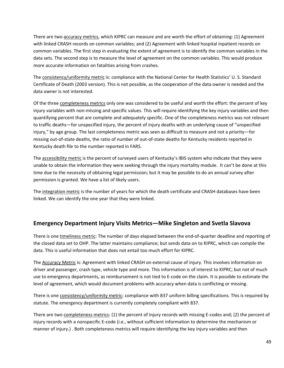There are two accuracy metrics, which KIPRC can measure and are worth the effort of obtaining: (1) Agreement with linked CRASH records on common variables; and (2) Agreement with linked hospital inpatient records on common variables. The first step in evaluating the extent of agreement is to identify the common variables in the data sets. The second step is to measure the level of agreement on the common variables. This would produce more accurate information on fatalities arising from crashes.

The consistency/uniformity metric is: compliance with the National Center for Health Statistics' U. S. Standard Certificate of Death (2003 version). This is not possible, as the cooperation of the data owner is needed and the data owner is not interested.

Of the three completeness metrics only one was considered to be useful and worth the effort: the percent of key injury variables with non-missing and specific values. This will require identifying the key injury variables and then quantifying percent that are complete and adequately specific. One of the completeness metrics was not relevant to traffic deaths—for unspecified injury, the percent of injury deaths with an underlying cause of "unspecified injury," by age group. The last completeness metric was seen as difficult to measure and not a priority—for missing out-of-state deaths, the ratio of number of out-of-state deaths for Kentucky residents reported in Kentucky death file to the number reported in FARS.

The accessibility metric is the percent of surveyed users of Kentucky's IBIS system who indicate that they were unable to obtain the information they were seeking through the injury mortality module. It can't be done at this time due to the necessity of obtaining legal permission; but it may be possible to do an annual survey after permission is granted. We have a list of likely users.

The integration metric is the number of years for which the death certificate and CRASH databases have been linked. We can identify the one year that they were linked.

# **Emergency Department Injury Visits Metrics—Mike Singleton and Svetla Slavova**

There is one timeliness metric: The number of days elapsed between the end-of-quarter deadline and reporting of the closed data set to OHP. The latter maintains compliance; but sends data on to KIPRC, which can compile the data. This is useful information that does not entail too much effort for KIPRC.

The Accuracy Metric is: Agreement with linked CRASH on external cause of injury. This involves information on driver and passenger, crash type, vehicle type and more. This information is of interest to KIPRC; but not of much use to emergency departments, as reimbursement is not tied to E-code on the claim. It is possible to estimate the level of agreement, which would document problems with accuracy when data is conflicting or missing.

There is one consistency/uniformity metric: compliance with 837 uniform billing specifications. This is required by statute. The emergency department is currently completely compliant with 837.

There are two completeness metrics: (1) the percent of injury records with missing E-codes and; (2) the percent of injury records with a nonspecific E-code (i.e., without sufficient information to determine the mechanism or manner of injury.) . Both completeness metrics will require identifying the key injury variables and then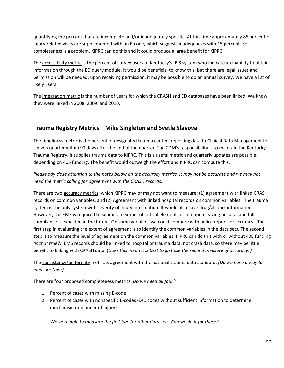quantifying the percent that are incomplete and/or inadequately specific. At this time approximately 85 percent of injury-related visits are supplemented with an E-code, which suggests inadequacies with 15 percent. So completeness is a problem. KIPRC can do this and it could produce a large benefit for KIPRC.

The accessibility metric is the percent of survey users of Kentucky's IBIS system who indicate an inability to obtain information through the ED query module. It would be beneficial to know this, but there are legal issues and permission will be needed; upon receiving permission, it may be possible to do an annual survey. We have a list of likely users.

The integration metric is the number of years for which the CRASH and ED databases have been linked. We know they were linked in 2008, 2009, and 2010.

# **Trauma Registry Metrics—Mike Singleton and Svetla Slavova**

The timeliness metric is the percent of designated trauma centers reporting data to Clinical Data Management for a given quarter within 90 days after the end of the quarter. The CDM's responsibility is to maintain the Kentucky Trauma Registry. It supplies trauma data to KIPRC. This is a useful metric and quarterly updates are possible, depending on 405 funding. The benefit would outweigh the effort and KIPRC can compute this.

*Please pay close attention to the notes below on the accuracy metrics. It may not be accurate and we may not need the metric calling for agreement with the CRASH records.* 

There are two accuracy metrics, which KIPRC may or may not want to measure: (1) agreement with linked CRASH records on common variables; and (2) Agreement with linked hospital records on common variables. The trauma system is the only system with severity of injury information. It would also have drug/alcohol information. However, the EMS is required to submit an extract of critical elements of run upon leaving hospital and full compliance is expected in the future. On some variables we could compare with police report for accuracy. The first step in evaluating the extent of agreement is to identify the common variables in the data sets. The second step is to measure the level of agreement on the common variables. KIPRC can do this with or without 405 funding *(is that true?).* EMS records should be linked to hospital or trauma data, not crash data, so there may be little benefit to linking with CRASH data. (*Does this mean it is best to just use the second measure of accuracy?)* 

The consistency/uniformity metric is agreement with the national trauma data standard. *(Do we have a way to measure this?)* 

There are four proposed completeness metrics. *Do we need all four?* 

- 1. Percent of cases with missing E-code
- 2. Percent of cases with nonspecific E-codes (i.e., codes without sufficient information to determine mechanism or manner of injury)

*We were able to measure the first two for other data sets. Can we do it for these?*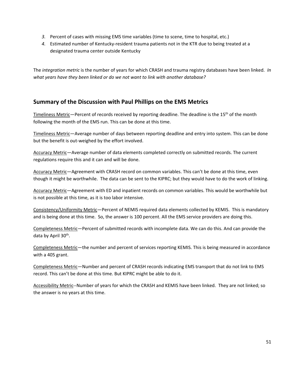- *3.* Percent of cases with missing EMS time variables (time to scene, time to hospital, etc.)
- *4.* Estimated number of Kentucky-resident trauma patients not in the KTR due to being treated at a designated trauma center outside Kentucky

The *integration metric* is the number of years for which CRASH and trauma registry databases have been linked. *In what years have they been linked or do we not want to link with another database?* 

# **Summary of the Discussion with Paul Phillips on the EMS Metrics**

Timeliness Metric-Percent of records received by reporting deadline. The deadline is the 15<sup>th</sup> of the month following the month of the EMS run. This can be done at this time.

Timeliness Metric—Average number of days between reporting deadline and entry into system. This can be done but the benefit is out-weighed by the effort involved.

Accuracy Metric—Average number of data elements completed correctly on submitted records. The current regulations require this and it can and will be done.

Accuracy Metric—Agreement with CRASH record on common variables. This can't be done at this time, even though it might be worthwhile. The data can be sent to the KIPRC; but they would have to do the work of linking.

Accuracy Metric—Agreement with ED and inpatient records on common variables. This would be worthwhile but is not possible at this time, as it is too labor intensive.

Consistency/Uniformity Metric—Percent of NEMIS required data elements collected by KEMIS. This is mandatory and is being done at this time. So, the answer is 100 percent. All the EMS service providers are doing this.

Completeness Metric—Percent of submitted records with incomplete data. We can do this. And can provide the data by April 30<sup>th</sup>.

Completeness Metric—the number and percent of services reporting KEMIS. This is being measured in accordance with a 405 grant.

Completeness Metric—Number and percent of CRASH records indicating EMS transport that do not link to EMS record. This can't be done at this time. But KIPRC might be able to do it.

Accessibility Metric--Number of years for which the CRASH and KEMIS have been linked. They are not linked; so the answer is no years at this time.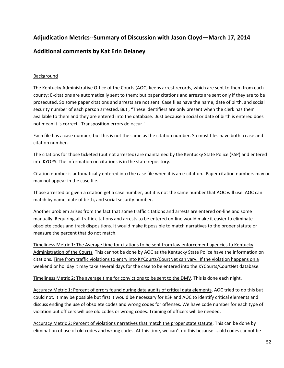# **Adjudication Metrics--Summary of Discussion with Jason Cloyd—March 17, 2014**

# **Additional comments by Kat Erin Delaney**

#### **Background**

The Kentucky Administrative Office of the Courts (AOC) keeps arrest records, which are sent to them from each county; E-citations are automatically sent to them; but paper citations and arrests are sent only if they are to be prosecuted. So some paper citations and arrests are not sent. Case files have the name, date of birth, and social security number of each person arrested. But, "These identifiers are only present when the clerk has them available to them and they are entered into the database. Just because a social or date of birth is entered does not mean it is correct. Transposition errors do occur."

Each file has a case number; but this is not the same as the citation number. So most files have both a case and citation number.

The citations for those ticketed (but not arrested) are maintained by the Kentucky State Police (KSP) and entered into KYOPS. The information on citations is in the state repository.

Citation number is automatically entered into the case file when it is an e-citation. Paper citation numbers may or may not appear in the case file.

Those arrested or given a citation get a case number, but it is not the same number that AOC will use. AOC can match by name, date of birth, and social security number.

Another problem arises from the fact that some traffic citations and arrests are entered on-line and some manually. Requiring all traffic citations and arrests to be entered on-line would make it easier to eliminate obsolete codes and track dispositions. It would make it possible to match narratives to the proper statute or measure the percent that do not match.

Timeliness Metric 1: The Average time for citations to be sent from law enforcement agencies to Kentucky Administration of the Courts. This cannot be done by AOC as the Kentucky State Police have the information on citations. Time from traffic violations to entry into KYCourts/CourtNet can vary. If the violation happens on a weekend or holiday it may take several days for the case to be entered into the KYCourts/CourtNet database.

Timeliness Metric 2: The average time for convictions to be sent to the DMV. This is done each night.

Accuracy Metric 1: Percent of errors found during data audits of critical data elements. AOC tried to do this but could not. It may be possible but first it would be necessary for KSP and AOC to identify critical elements and discuss ending the use of obsolete codes and wrong codes for offenses. We have code number for each type of violation but officers will use old codes or wrong codes. Training of officers will be needed.

Accuracy Metric 2: Percent of violations narratives that match the proper state statute. This can be done by elimination of use of old codes and wrong codes. At this time, we can't do this because…..old codes cannot be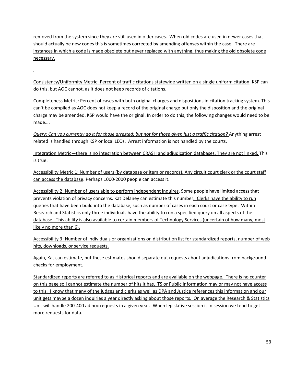removed from the system since they are still used in older cases. When old codes are used in newer cases that should actually be new codes this is sometimes corrected by amending offenses within the case. There are instances in which a code is made obsolete but never replaced with anything, thus making the old obsolete code necessary.

Consistency/Uniformity Metric: Percent of traffic citations statewide written on a single uniform citation. KSP can do this, but AOC cannot, as it does not keep records of citations.

*.* 

Completeness Metric: Percent of cases with both original charges and dispositions in citation tracking system. This can't be compiled as AOC does not keep a record of the original charge but only the disposition and the original charge may be amended. KSP would have the original. In order to do this, the following changes would need to be made….

*Query: Can you currently do it for those arrested; but not for those given just a traffic citation?* Anything arrest related is handled through KSP or local LEOs. Arrest information is not handled by the courts.

Integration Metric—there is no integration between CRASH and adjudication databases. They are not linked. This is true.

Accessibility Metric 1: Number of users (by database or item or records). Any circuit court clerk or the court staff can access the database. Perhaps 1000-2000 people can access it.

Accessibility 2: Number of users able to perform independent inquires. Some people have limited access that prevents violation of privacy concerns. Kat Delaney can estimate this number. Clerks have the ability to run queries that have been build into the database, such as number of cases in each court or case type. Within Research and Statistics only three individuals have the ability to run a specified query on all aspects of the database. This ability is also available to certain members of Technology Services (uncertain of how many, most likely no more than 6).

Accessibility 3: Number of individuals or organizations on distribution list for standardized reports, number of web hits, downloads, or service requests.

Again, Kat can estimate, but these estimates should separate out requests about adjudications from background checks for employment.

Standardized reports are referred to as Historical reports and are available on the webpage. There is no counter on this page so I cannot estimate the number of hits it has. TS or Public Information may or may not have access to this. I know that many of the judges and clerks as well as DPA and Justice references this information and our unit gets maybe a dozen inquiries a year directly asking about those reports. On average the Research & Statistics Unit will handle 200-400 ad hoc requests in a given year. When legislative session is in session we tend to get more requests for data.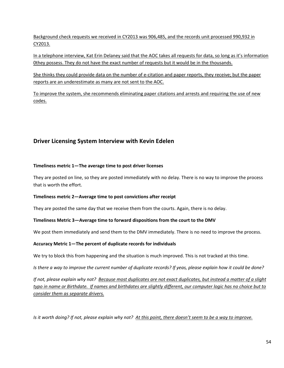Background check requests we received in CY2013 was 906,485, and the records unit processed 990,932 in CY2013.

In a telephone interview, Kat Erin Delaney said that the AOC takes all requests for data, so long as it's information 0they possess. They do not have the exact number of requests but it would be in the thousands.

She thinks they could provide data on the number of e-citation and paper reports, they receive; but the paper reports are an underestimate as many are not sent to the AOC.

To improve the system, she recommends eliminating paper citations and arrests and requiring the use of new codes.

# **Driver Licensing System Interview with Kevin Edelen**

#### **Timeliness metric 1—The average time to post driver licenses**

They are posted on line, so they are posted immediately with no delay. There is no way to improve the process that is worth the effort.

#### **Timeliness metric 2—Average time to post convictions after receipt**

They are posted the same day that we receive them from the courts. Again, there is no delay.

#### **Timeliness Metric 3—Average time to forward dispositions from the court to the DMV**

We post them immediately and send them to the DMV immediately. There is no need to improve the process.

#### **Accuracy Metric 1—The percent of duplicate records for individuals**

We try to block this from happening and the situation is much improved. This is not tracked at this time.

*Is there a way to improve the current number of duplicate records? If yeas, please explain how it could be done?* 

*If not, please explain why not? Because most duplicates are not exact duplicates, but instead a matter of a slight typo in name or Birthdate. If names and birthdates are slightly different, our computer logic has no choice but to consider them as separate drivers.* 

*Is it worth doing? If not, please explain why not? At this point, there doesn't seem to be a way to improve.*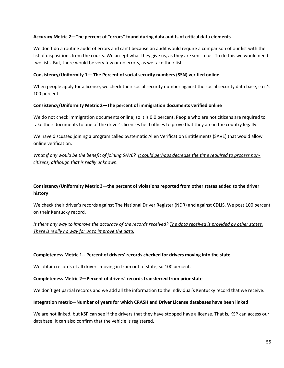#### **Accuracy Metric 2—The percent of "errors" found during data audits of critical data elements**

We don't do a routine audit of errors and can't because an audit would require a comparison of our list with the list of dispositions from the courts. We accept what they give us, as they are sent to us. To do this we would need two lists. But, there would be very few or no errors, as we take their list.

#### **Consistency/Uniformity 1— The Percent of social security numbers (SSN) verified online**

When people apply for a license, we check their social security number against the social security data base; so it's 100 percent.

#### **Consistency/Uniformity Metric 2—The percent of immigration documents verified online**

We do not check immigration documents online; so it is 0.0 percent. People who are not citizens are required to take their documents to one of the driver's licenses field offices to prove that they are in the country legally.

We have discussed joining a program called Systematic Alien Verification Entitlements (SAVE) that would allow online verification.

*What if any would be the benefit of joining SAVE? It could perhaps decrease the time required to process noncitizens, although that is really unknown.* 

#### **Consistency/Uniformity Metric 3—the percent of violations reported from other states added to the driver history**

We check their driver's records against The National Driver Register (NDR) and against CDLIS. We post 100 percent on their Kentucky record.

*Is there any way to improve the accuracy of the records received? The data received is provided by other states. There is really no way for us to improve the data.* 

#### **Completeness Metric 1-- Percent of drivers' records checked for drivers moving into the state**

We obtain records of all drivers moving in from out of state; so 100 percent.

#### **Completeness Metric 2—Percent of drivers' records transferred from prior state**

We don't get partial records and we add all the information to the individual's Kentucky record that we receive.

#### **Integration metric—Number of years for which CRASH and Driver License databases have been linked**

We are not linked, but KSP can see if the drivers that they have stopped have a license. That is, KSP can access our database. It can also confirm that the vehicle is registered.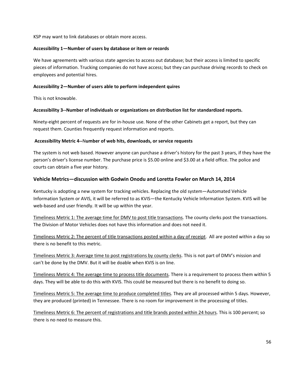KSP may want to link databases or obtain more access.

#### **Accessibility 1—Number of users by database or item or records**

We have agreements with various state agencies to access out database; but their access is limited to specific pieces of information. Trucking companies do not have access; but they can purchase driving records to check on employees and potential hires.

#### **Accessibility 2—Number of users able to perform independent quires**

This is not knowable.

#### **Accessibility 3--Number of individuals or organizations on distribution list for standardized reports.**

Ninety-eight percent of requests are for in-house use. None of the other Cabinets get a report, but they can request them. Counties frequently request information and reports.

#### **Accessibility Metric 4--**N**umber of web hits, downloads, or service requests**

The system is not web based. However anyone can purchase a driver's history for the past 3 years, if they have the person's driver's license number. The purchase price is \$5.00 online and \$3.00 at a field office. The police and courts can obtain a five year history.

#### **Vehicle Metrics—discussion with Godwin Onodu and Loretta Fowler on March 14, 2014**

Kentucky is adopting a new system for tracking vehicles. Replacing the old system—Automated Vehicle Information System or AVIS, it will be referred to as KVIS—the Kentucky Vehicle Information System. KVIS will be web-based and user friendly. It will be up within the year.

Timeliness Metric 1: The average time for DMV to post title transactions. The county clerks post the transactions. The Division of Motor Vehicles does not have this information and does not need it.

Timeliness Metric 2: The percent of title transactions posted within a day of receipt. All are posted within a day so there is no benefit to this metric.

Timeliness Metric 3: Average time to post registrations by county clerks. This is not part of DMV's mission and can't be done by the DMV. But it will be doable when KVIS is on line.

Timeliness Metric 4: The average time to process title documents. There is a requirement to process them within 5 days. They will be able to do this with KVIS. This could be measured but there is no benefit to doing so.

Timeliness Metric 5: The average time to produce completed titles. They are all processed within 5 days. However, they are produced (printed) in Tennessee. There is no room for improvement in the processing of titles.

Timeliness Metric 6: The percent of registrations and title brands posted within 24 hours. This is 100 percent; so there is no need to measure this.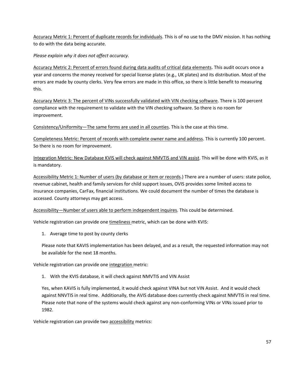Accuracy Metric 1: Percent of duplicate records for individuals. This is of no use to the DMV mission. It has nothing to do with the data being accurate.

*Please explain why it does not affect accuracy.* 

Accuracy Metric 2: Percent of errors found during data audits of critical data elements. This audit occurs once a year and concerns the money received for special license plates (e.g., UK plates) and its distribution. Most of the errors are made by county clerks. Very few errors are made in this office, so there is little benefit to measuring this.

Accuracy Metric 3: The percent of VINs successfully validated with VIN checking software. There is 100 percent compliance with the requirement to validate with the VIN checking software. So there is no room for improvement.

Consistency/Uniformity—The same forms are used in all counties. This is the case at this time.

Completeness Metric: Percent of records with complete owner name and address. This is currently 100 percent. So there is no room for improvement.

Integration Metric: New Database KVIS will check against NMVTIS and VIN assist. This will be done with KVIS, as it is mandatory.

Accessibility Metric 1: Number of users (by database or item or records.) There are a number of users: state police, revenue cabinet, health and family services for child support issues, OVIS provides some limited access to insurance companies, CarFax, financial institutions. We could document the number of times the database is accessed. County attorneys may get access.

Accessibility—Number of users able to perform independent inquires. This could be determined.

Vehicle registration can provide one timeliness metric, which can be done with KVIS:

1. Average time to post by county clerks

Please note that KAVIS implementation has been delayed, and as a result, the requested information may not be available for the next 18 months.

Vehicle registration can provide one integration metric:

1. With the KVIS database, it will check against NMVTIS and VIN Assist

Yes, when KAVIS is fully implemented, it would check against VINA but not VIN Assist. And it would check against NNVTIS in real time. Additionally, the AVIS database does currently check against NMVTIS in real time. Please note that none of the systems would check against any non-conforming VINs or VINs issued prior to 1982.

Vehicle registration can provide two accessibility metrics: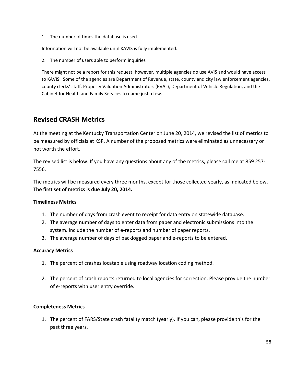1. The number of times the database is used

Information will not be available until KAVIS is fully implemented.

2. The number of users able to perform inquiries

There might not be a report for this request, however, multiple agencies do use AVIS and would have access to KAVIS. Some of the agencies are Department of Revenue, state, county and city law enforcement agencies, county clerks' staff, Property Valuation Administrators (PVAs), Department of Vehicle Regulation, and the Cabinet for Health and Family Services to name just a few.

# **Revised CRASH Metrics**

At the meeting at the Kentucky Transportation Center on June 20, 2014, we revised the list of metrics to be measured by officials at KSP. A number of the proposed metrics were eliminated as unnecessary or not worth the effort.

The revised list is below. If you have any questions about any of the metrics, please call me at 859 257- 7556.

The metrics will be measured every three months, except for those collected yearly, as indicated below. **The first set of metrics is due July 20, 2014.** 

#### **Timeliness Metrics**

- 1. The number of days from crash event to receipt for data entry on statewide database.
- 2. The average number of days to enter data from paper and electronic submissions into the system. Include the number of e-reports and number of paper reports.
- 3. The average number of days of backlogged paper and e-reports to be entered.

#### **Accuracy Metrics**

- 1. The percent of crashes locatable using roadway location coding method.
- 2. The percent of crash reports returned to local agencies for correction. Please provide the number of e-reports with user entry override.

#### **Completeness Metrics**

1. The percent of FARS/State crash fatality match (yearly). If you can, please provide this for the past three years.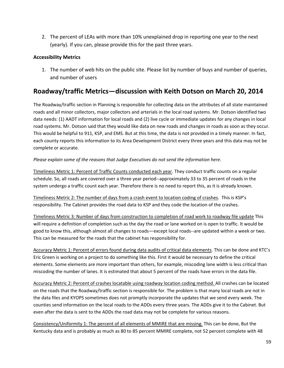2. The percent of LEAs with more than 10% unexplained drop in reporting one year to the next (yearly). If you can, please provide this for the past three years.

#### **Accessibility Metrics**

1. The number of web hits on the public site. Please list by number of buys and number of queries, and number of users

# **Roadway/traffic Metrics—discussion with Keith Dotson on March 20, 2014**

The Roadway/traffic section in Planning is responsible for collecting data on the attributes of all state maintained roads and all minor collectors, major collectors and arterials in the local road systems. Mr. Dotson identified two data needs: (1) AADT information for local roads and (2) live cycle or immediate updates for any changes in local road systems. Mr. Dotson said that they would like data on new roads and changes in roads as soon as they occur. This would be helpful to 911, KSP, and EMS. But at this time, the data is not provided in a timely manner. In fact, each county reports this information to its Area Development District every three years and this data may not be complete or accurate.

*Please explain some of the reasons that Judge Executives do not send the information here.* 

Timeliness Metric 1: Percent of Traffic Counts conducted each year. They conduct traffic counts on a regular schedule. So, all roads are covered over a three year period--approximately 33 to 35 percent of roads in the system undergo a traffic count each year. Therefore there is no need to report this, as it is already known.

Timeliness Metric 2: The number of days from a crash event to location coding of crashes. This is KSP's responsibility. The Cabinet provides the road data to KSP and they code the location of the crashes.

Timeliness Metric 3: Number of days from construction to completion of road work to roadway file update This will require a definition of completion such as the day the road or lane worked on is open to traffic. It would be good to know this, although almost all changes to roads—except local roads--are updated within a week or two. This can be measured for the roads that the cabinet has responsibility for.

Accuracy Metric 1: Percent of errors found during data audits of critical data elements. This can be done and KTC's Eric Green is working on a project to do something like this. First it would be necessary to define the critical elements. Some elements are more important than others, for example, miscoding lane width is less critical than miscoding the number of lanes. It is estimated that about 5 percent of the roads have errors in the data file.

Accuracy Metric 2: Percent of crashes locatable using roadway location coding method. All crashes can be located on the roads that the Roadway/traffic section is responsible for. The problem is that many local roads are not in the data files and KYOPS sometimes does not promptly incorporate the updates that we send every week. The counties send information on the local roads to the ADDs every three years. The ADDs give it to the Cabinet. But even after the data is sent to the ADDs the road data may not be complete for various reasons.

Consistency/Uniformity 1: The percent of all elements of MMIRE that are missing. This can be done, But the Kentucky data and is probably as much as 80 to 85 percent MMIRE complete, not 52 percent complete with 48